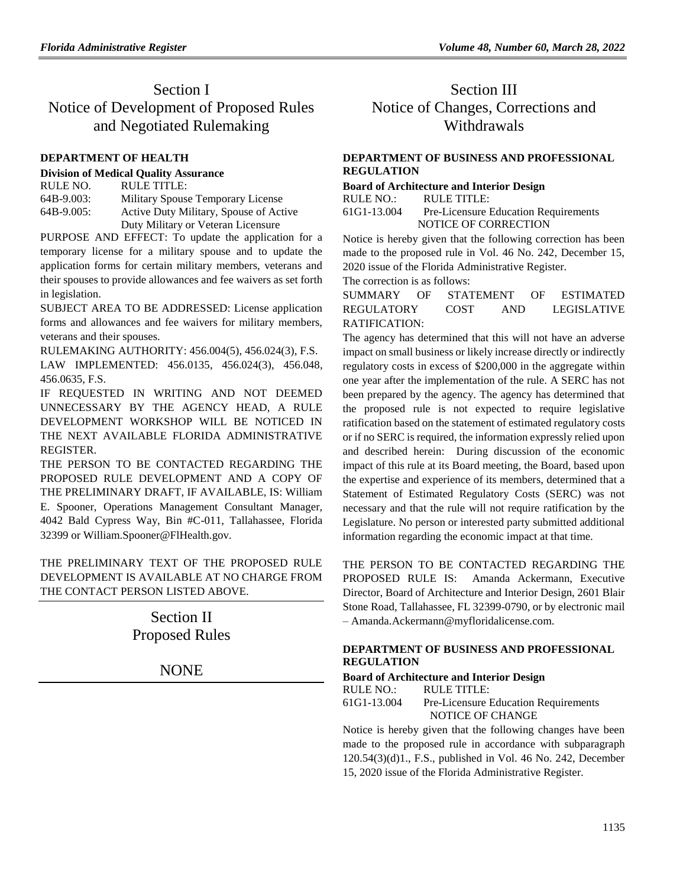# Section I Notice of Development of Proposed Rules and Negotiated Rulemaking

### **[DEPARTMENT OF HEALTH](https://www.flrules.org/gateway/department.asp?id=64)**

#### **[Division of Medical Quality Assurance](https://www.flrules.org/gateway/organization.asp?id=299)**

RULE NO. RULE TITLE: [64B-9.003:](https://www.flrules.org/gateway/ruleNo.asp?id=64B-9.003) Military Spouse Temporary License [64B-9.005:](https://www.flrules.org/gateway/ruleNo.asp?id=64B-9.005) Active Duty Military, Spouse of Active Duty Military or Veteran Licensure

PURPOSE AND EFFECT: To update the application for a temporary license for a military spouse and to update the application forms for certain military members, veterans and their spouses to provide allowances and fee waivers as set forth in legislation.

SUBJECT AREA TO BE ADDRESSED: License application forms and allowances and fee waivers for military members, veterans and their spouses.

RULEMAKING AUTHORITY: [456.004\(5\),](https://www.flrules.org/gateway/statute.asp?id=456.004(5)) [456.024\(3\),](https://www.flrules.org/gateway/statute.asp?id=%20456.024(3)) F.S.

LAW IMPLEMENTED: [456.0135,](https://www.flrules.org/gateway/statute.asp?id=456.0135) [456.024\(3\),](https://www.flrules.org/gateway/statute.asp?id=%20456.024(3)) [456.048,](https://www.flrules.org/gateway/statute.asp?id=%20456.048) [456.0635,](https://www.flrules.org/gateway/statute.asp?id=%20456.0635) F.S.

IF REQUESTED IN WRITING AND NOT DEEMED UNNECESSARY BY THE AGENCY HEAD, A RULE DEVELOPMENT WORKSHOP WILL BE NOTICED IN THE NEXT AVAILABLE FLORIDA ADMINISTRATIVE REGISTER.

THE PERSON TO BE CONTACTED REGARDING THE PROPOSED RULE DEVELOPMENT AND A COPY OF THE PRELIMINARY DRAFT, IF AVAILABLE, IS: William E. Spooner, Operations Management Consultant Manager, 4042 Bald Cypress Way, Bin #C-011, Tallahassee, Florida 32399 or William.Spooner@FlHealth.gov.

THE PRELIMINARY TEXT OF THE PROPOSED RULE DEVELOPMENT IS AVAILABLE AT NO CHARGE FROM THE CONTACT PERSON LISTED ABOVE.

> Section II Proposed Rules

> > NONE

# Section III Notice of Changes, Corrections and Withdrawals

# **[DEPARTMENT OF BUSINESS AND PROFESSIONAL](https://www.flrules.org/gateway/department.asp?id=61)  [REGULATION](https://www.flrules.org/gateway/department.asp?id=61)**

**[Board of Architecture and Interior Design](https://www.flrules.org/gateway/organization.asp?id=263)**

RULE NO.: RULE TITLE:

[61G1-13.004](https://www.flrules.org/gateway/ruleNo.asp?id=61G1-13.004) Pre-Licensure Education Requirements NOTICE OF CORRECTION

Notice is hereby given that the following correction has been made to the proposed rule in Vol. 46 No. 242, December 15, 2020 issue of the Florida Administrative Register.

The correction is as follows:

SUMMARY OF STATEMENT OF ESTIMATED REGULATORY COST AND LEGISLATIVE RATIFICATION:

The agency has determined that this will not have an adverse impact on small business or likely increase directly or indirectly regulatory costs in excess of \$200,000 in the aggregate within one year after the implementation of the rule. A SERC has not been prepared by the agency. The agency has determined that the proposed rule is not expected to require legislative ratification based on the statement of estimated regulatory costs or if no SERC is required, the information expressly relied upon and described herein: During discussion of the economic impact of this rule at its Board meeting, the Board, based upon the expertise and experience of its members, determined that a Statement of Estimated Regulatory Costs (SERC) was not necessary and that the rule will not require ratification by the Legislature. No person or interested party submitted additional information regarding the economic impact at that time.

THE PERSON TO BE CONTACTED REGARDING THE PROPOSED RULE IS: Amanda Ackermann, Executive Director, Board of Architecture and Interior Design, 2601 Blair Stone Road, Tallahassee, FL 32399-0790, or by electronic mail – Amanda.Ackermann@myfloridalicense.com.

# **[DEPARTMENT OF BUSINESS AND PROFESSIONAL](https://www.flrules.org/gateway/department.asp?id=61)  [REGULATION](https://www.flrules.org/gateway/department.asp?id=61)**

## **[Board of Architecture and Interior Design](https://www.flrules.org/gateway/organization.asp?id=263)**

RULE NO.: RULE TITLE:<br>61G1-13.004 Pre-Licensure

Pre-Licensure Education Requirements NOTICE OF CHANGE

Notice is hereby given that the following changes have been made to the proposed rule in accordance with subparagraph 120.54(3)(d)1., F.S., published in Vol. 46 No. 242, December 15, 2020 issue of the Florida Administrative Register.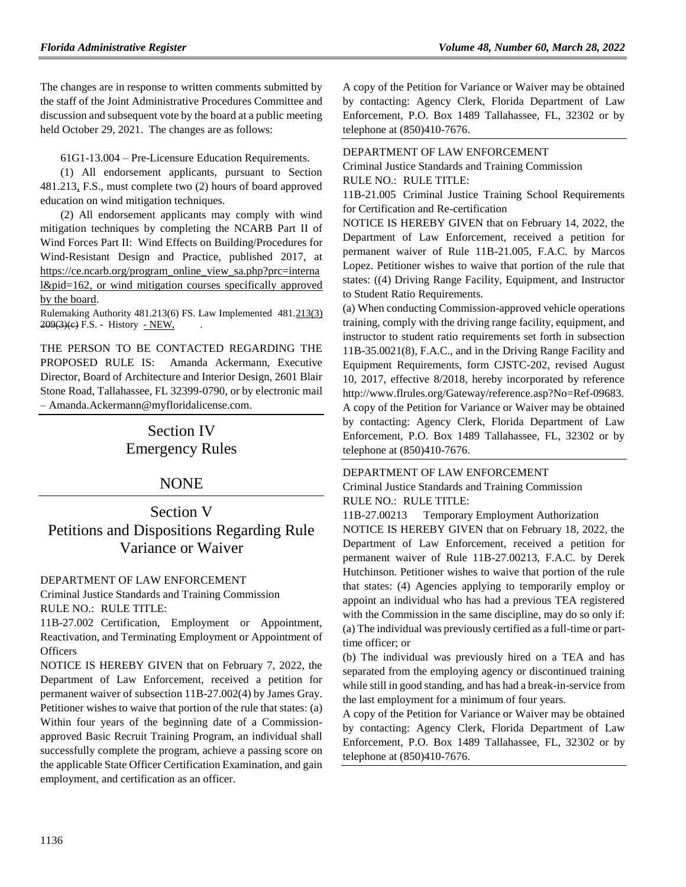The changes are in response to written comments submitted by the staff of the Joint Administrative Procedures Committee and discussion and subsequent vote by the board at a public meeting held October 29, 2021. The changes are as follows:

61G1-13.004 – Pre-Licensure Education Requirements.

(1) All endorsement applicants, pursuant to Section 481.213, F.S., must complete two (2) hours of board approved education on wind mitigation techniques.

(2) All endorsement applicants may comply with wind mitigation techniques by completing the NCARB Part II of Wind Forces Part II: Wind Effects on Building/Procedures for Wind-Resistant Design and Practice, published 2017, at [https://ce.ncarb.org/program\\_online\\_view\\_sa.php?prc=interna](https://ce.ncarb.org/program_online_view_sa.php?prc=internal&pid=162) [l&pid=162,](https://ce.ncarb.org/program_online_view_sa.php?prc=internal&pid=162) or wind mitigation courses specifically approved by the board.

Rulemaking Authority 481.213(6) FS. Law Implemented 481.213(3) 209(3)(e) F.S. - History - NEW,

THE PERSON TO BE CONTACTED REGARDING THE PROPOSED RULE IS: Amanda Ackermann, Executive Director, Board of Architecture and Interior Design, 2601 Blair Stone Road, Tallahassee, FL 32399-0790, or by electronic mail – [Amanda.Ackermann@myfloridalicense.com.](mailto:Amanda.Ackermann@myfloridalicense.com)

# Section IV Emergency Rules

# NONE

Section V Petitions and Dispositions Regarding Rule Variance or Waiver

## [DEPARTMENT OF LAW ENFORCEMENT](https://www.flrules.org/gateway/department.asp?id=11)

[Criminal Justice Standards and Training Commission](https://www.flrules.org/gateway/organization.asp?id=20) RULE NO.: RULE TITLE:

[11B-27.002](https://www.flrules.org/gateway/ruleNo.asp?id=11B-27.002) Certification, Employment or Appointment, Reactivation, and Terminating Employment or Appointment of **Officers** 

NOTICE IS HEREBY GIVEN that on February 7, 2022, the Department of Law Enforcement, received a petition for permanent waiver of subsection 11B-27.002(4) by James Gray. Petitioner wishes to waive that portion of the rule that states: (a) Within four years of the beginning date of a Commissionapproved Basic Recruit Training Program, an individual shall successfully complete the program, achieve a passing score on the applicable State Officer Certification Examination, and gain employment, and certification as an officer.

A copy of the Petition for Variance or Waiver may be obtained by contacting: Agency Clerk, Florida Department of Law Enforcement, P.O. Box 1489 Tallahassee, FL, 32302 or by telephone at (850)410-7676.

#### [DEPARTMENT OF LAW ENFORCEMENT](https://www.flrules.org/gateway/department.asp?id=11)

[Criminal Justice Standards and Training Commission](https://www.flrules.org/gateway/organization.asp?id=20) RULE NO.: RULE TITLE:

[11B-21.005](https://www.flrules.org/gateway/ruleNo.asp?id=11B-21.005) Criminal Justice Training School Requirements for Certification and Re-certification

NOTICE IS HEREBY GIVEN that on February 14, 2022, the Department of Law Enforcement, received a petition for permanent waiver of Rule 11B-21.005, F.A.C. by Marcos Lopez. Petitioner wishes to waive that portion of the rule that states: ((4) Driving Range Facility, Equipment, and Instructor to Student Ratio Requirements.

(a) When conducting Commission-approved vehicle operations training, comply with the driving range facility, equipment, and instructor to student ratio requirements set forth in subsection 11B-35.0021(8), F.A.C., and in the Driving Range Facility and Equipment Requirements, form CJSTC-202, revised August 10, 2017, effective 8/2018, hereby incorporated by reference http://www.flrules.org/Gateway/reference.asp?No=Ref-09683. A copy of the Petition for Variance or Waiver may be obtained by contacting: Agency Clerk, Florida Department of Law Enforcement, P.O. Box 1489 Tallahassee, FL, 32302 or by telephone at (850)410-7676.

#### [DEPARTMENT OF LAW ENFORCEMENT](https://www.flrules.org/gateway/department.asp?id=11)

[Criminal Justice Standards and Training Commission](https://www.flrules.org/gateway/organization.asp?id=20) RULE NO.: RULE TITLE:

[11B-27.00213](https://www.flrules.org/gateway/ruleNo.asp?id=11B-27.00213) Temporary Employment Authorization

NOTICE IS HEREBY GIVEN that on February 18, 2022, the Department of Law Enforcement, received a petition for permanent waiver of Rule 11B-27.00213, F.A.C. by Derek Hutchinson. Petitioner wishes to waive that portion of the rule that states: (4) Agencies applying to temporarily employ or appoint an individual who has had a previous TEA registered with the Commission in the same discipline, may do so only if: (a) The individual was previously certified as a full-time or parttime officer; or

(b) The individual was previously hired on a TEA and has separated from the employing agency or discontinued training while still in good standing, and has had a break-in-service from the last employment for a minimum of four years.

A copy of the Petition for Variance or Waiver may be obtained by contacting: Agency Clerk, Florida Department of Law Enforcement, P.O. Box 1489 Tallahassee, FL, 32302 or by telephone at (850)410-7676.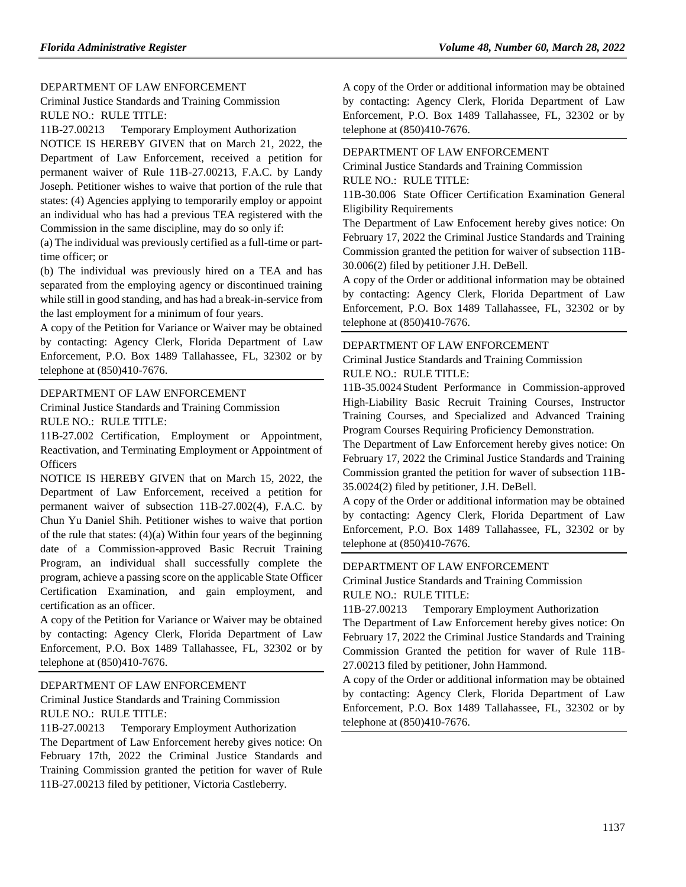### [DEPARTMENT OF LAW ENFORCEMENT](https://www.flrules.org/gateway/department.asp?id=11)

[Criminal Justice Standards and Training Commission](https://www.flrules.org/gateway/organization.asp?id=20) RULE NO.: RULE TITLE:

[11B-27.00213](https://www.flrules.org/gateway/ruleNo.asp?id=11B-27.00213) Temporary Employment Authorization

NOTICE IS HEREBY GIVEN that on March 21, 2022, the Department of Law Enforcement, received a petition for permanent waiver of Rule 11B-27.00213, F.A.C. by Landy Joseph. Petitioner wishes to waive that portion of the rule that states: (4) Agencies applying to temporarily employ or appoint an individual who has had a previous TEA registered with the Commission in the same discipline, may do so only if:

(a) The individual was previously certified as a full-time or parttime officer; or

(b) The individual was previously hired on a TEA and has separated from the employing agency or discontinued training while still in good standing, and has had a break-in-service from the last employment for a minimum of four years.

A copy of the Petition for Variance or Waiver may be obtained by contacting: Agency Clerk, Florida Department of Law Enforcement, P.O. Box 1489 Tallahassee, FL, 32302 or by telephone at (850)410-7676.

#### [DEPARTMENT OF LAW ENFORCEMENT](https://www.flrules.org/gateway/department.asp?id=11)

[Criminal Justice Standards and Training Commission](https://www.flrules.org/gateway/organization.asp?id=20) RULE NO.: RULE TITLE:

[11B-27.002](https://www.flrules.org/gateway/ruleNo.asp?id=11B-27.002) Certification, Employment or Appointment, Reactivation, and Terminating Employment or Appointment of **Officers** 

NOTICE IS HEREBY GIVEN that on March 15, 2022, the Department of Law Enforcement, received a petition for permanent waiver of subsection 11B-27.002(4), F.A.C. by Chun Yu Daniel Shih. Petitioner wishes to waive that portion of the rule that states:  $(4)(a)$  Within four years of the beginning date of a Commission-approved Basic Recruit Training Program, an individual shall successfully complete the program, achieve a passing score on the applicable State Officer Certification Examination, and gain employment, and certification as an officer.

A copy of the Petition for Variance or Waiver may be obtained by contacting: Agency Clerk, Florida Department of Law Enforcement, P.O. Box 1489 Tallahassee, FL, 32302 or by telephone at (850)410-7676.

#### [DEPARTMENT OF LAW ENFORCEMENT](https://www.flrules.org/gateway/department.asp?id=11)

[Criminal Justice Standards and Training Commission](https://www.flrules.org/gateway/organization.asp?id=20) RULE NO.: RULE TITLE:

[11B-27.00213](https://www.flrules.org/gateway/ruleNo.asp?id=11B-27.00213) Temporary Employment Authorization The Department of Law Enforcement hereby gives notice: On February 17th, 2022 the Criminal Justice Standards and Training Commission granted the petition for waver of Rule 11B-27.00213 filed by petitioner, Victoria Castleberry.

A copy of the Order or additional information may be obtained by contacting: Agency Clerk, Florida Department of Law Enforcement, P.O. Box 1489 Tallahassee, FL, 32302 or by telephone at (850)410-7676.

#### [DEPARTMENT OF LAW ENFORCEMENT](https://www.flrules.org/gateway/department.asp?id=11)

[Criminal Justice Standards and Training Commission](https://www.flrules.org/gateway/organization.asp?id=20) RULE NO.: RULE TITLE:

[11B-30.006](https://www.flrules.org/gateway/ruleNo.asp?id=11B-30.006) State Officer Certification Examination General Eligibility Requirements

The Department of Law Enfocement hereby gives notice: On February 17, 2022 the Criminal Justice Standards and Training Commission granted the petition for waiver of subsection 11B-30.006(2) filed by petitioner J.H. DeBell.

A copy of the Order or additional information may be obtained by contacting: Agency Clerk, Florida Department of Law Enforcement, P.O. Box 1489 Tallahassee, FL, 32302 or by telephone at (850)410-7676.

#### [DEPARTMENT OF LAW ENFORCEMENT](https://www.flrules.org/gateway/department.asp?id=11)

[Criminal Justice Standards and Training Commission](https://www.flrules.org/gateway/organization.asp?id=20) RULE NO.: RULE TITLE:

[11B-35.0024](https://www.flrules.org/gateway/ruleNo.asp?id=11B-35.0024) Student Performance in Commission-approved High-Liability Basic Recruit Training Courses, Instructor Training Courses, and Specialized and Advanced Training Program Courses Requiring Proficiency Demonstration.

The Department of Law Enforcement hereby gives notice: On February 17, 2022 the Criminal Justice Standards and Training Commission granted the petition for waver of subsection 11B-35.0024(2) filed by petitioner, J.H. DeBell.

A copy of the Order or additional information may be obtained by contacting: Agency Clerk, Florida Department of Law Enforcement, P.O. Box 1489 Tallahassee, FL, 32302 or by telephone at (850)410-7676.

### [DEPARTMENT OF LAW ENFORCEMENT](https://www.flrules.org/gateway/department.asp?id=11)

[Criminal Justice Standards and Training Commission](https://www.flrules.org/gateway/organization.asp?id=20) RULE NO.: RULE TITLE:

[11B-27.00213](https://www.flrules.org/gateway/ruleNo.asp?id=11B-27.00213) Temporary Employment Authorization

The Department of Law Enforcement hereby gives notice: On February 17, 2022 the Criminal Justice Standards and Training Commission Granted the petition for waver of Rule 11B-27.00213 filed by petitioner, John Hammond.

A copy of the Order or additional information may be obtained by contacting: Agency Clerk, Florida Department of Law Enforcement, P.O. Box 1489 Tallahassee, FL, 32302 or by telephone at (850)410-7676.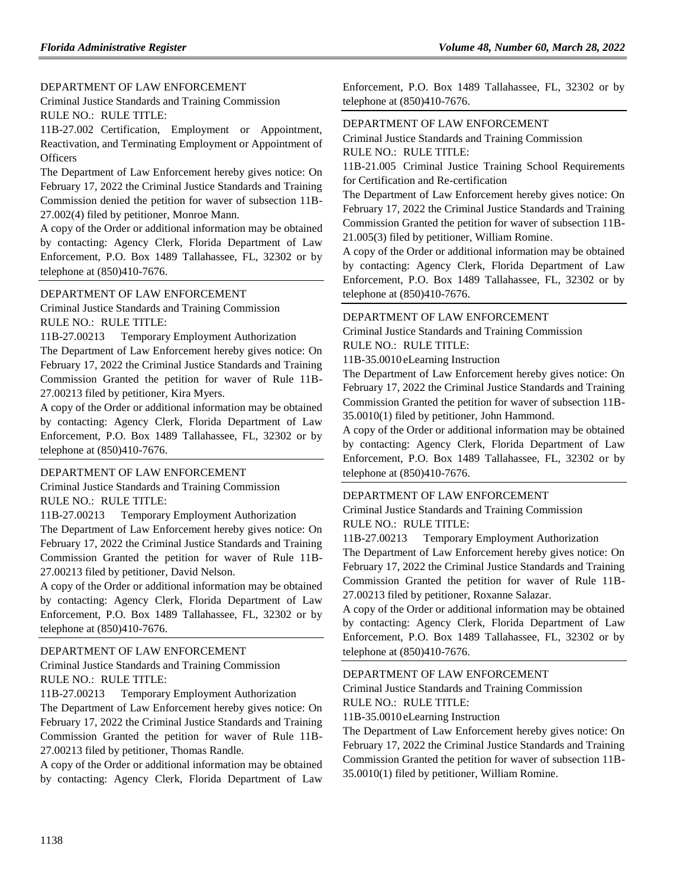#### [DEPARTMENT OF LAW ENFORCEMENT](https://www.flrules.org/gateway/department.asp?id=11)

[Criminal Justice Standards and Training Commission](https://www.flrules.org/gateway/organization.asp?id=20) RULE NO.: RULE TITLE:

[11B-27.002](https://www.flrules.org/gateway/ruleNo.asp?id=11B-27.002) Certification, Employment or Appointment, Reactivation, and Terminating Employment or Appointment of **Officers** 

The Department of Law Enforcement hereby gives notice: On February 17, 2022 the Criminal Justice Standards and Training Commission denied the petition for waver of subsection 11B-27.002(4) filed by petitioner, Monroe Mann.

A copy of the Order or additional information may be obtained by contacting: Agency Clerk, Florida Department of Law Enforcement, P.O. Box 1489 Tallahassee, FL, 32302 or by telephone at (850)410-7676.

#### [DEPARTMENT OF LAW ENFORCEMENT](https://www.flrules.org/gateway/department.asp?id=11)

[Criminal Justice Standards and Training Commission](https://www.flrules.org/gateway/organization.asp?id=20) RULE NO.: RULE TITLE:

[11B-27.00213](https://www.flrules.org/gateway/ruleNo.asp?id=11B-27.00213) Temporary Employment Authorization

The Department of Law Enforcement hereby gives notice: On February 17, 2022 the Criminal Justice Standards and Training Commission Granted the petition for waver of Rule 11B-27.00213 filed by petitioner, Kira Myers.

A copy of the Order or additional information may be obtained by contacting: Agency Clerk, Florida Department of Law Enforcement, P.O. Box 1489 Tallahassee, FL, 32302 or by telephone at (850)410-7676.

#### [DEPARTMENT OF LAW ENFORCEMENT](https://www.flrules.org/gateway/department.asp?id=11)

[Criminal Justice Standards and Training Commission](https://www.flrules.org/gateway/organization.asp?id=20) RULE NO.: RULE TITLE:

[11B-27.00213](https://www.flrules.org/gateway/ruleNo.asp?id=11B-27.00213) Temporary Employment Authorization

The Department of Law Enforcement hereby gives notice: On February 17, 2022 the Criminal Justice Standards and Training Commission Granted the petition for waver of Rule 11B-27.00213 filed by petitioner, David Nelson.

A copy of the Order or additional information may be obtained by contacting: Agency Clerk, Florida Department of Law Enforcement, P.O. Box 1489 Tallahassee, FL, 32302 or by telephone at (850)410-7676.

#### [DEPARTMENT OF LAW ENFORCEMENT](https://www.flrules.org/gateway/department.asp?id=11)

[Criminal Justice Standards and Training Commission](https://www.flrules.org/gateway/organization.asp?id=20) RULE NO.: RULE TITLE:

[11B-27.00213](https://www.flrules.org/gateway/ruleNo.asp?id=11B-27.00213) Temporary Employment Authorization

The Department of Law Enforcement hereby gives notice: On February 17, 2022 the Criminal Justice Standards and Training Commission Granted the petition for waver of Rule 11B-27.00213 filed by petitioner, Thomas Randle.

A copy of the Order or additional information may be obtained by contacting: Agency Clerk, Florida Department of Law Enforcement, P.O. Box 1489 Tallahassee, FL, 32302 or by telephone at (850)410-7676.

#### [DEPARTMENT OF LAW ENFORCEMENT](https://www.flrules.org/gateway/department.asp?id=11)

[Criminal Justice Standards and Training Commission](https://www.flrules.org/gateway/organization.asp?id=20) RULE NO.: RULE TITLE:

[11B-21.005](https://www.flrules.org/gateway/ruleNo.asp?id=11B-21.005) Criminal Justice Training School Requirements for Certification and Re-certification

The Department of Law Enforcement hereby gives notice: On February 17, 2022 the Criminal Justice Standards and Training Commission Granted the petition for waver of subsection 11B-21.005(3) filed by petitioner, William Romine.

A copy of the Order or additional information may be obtained by contacting: Agency Clerk, Florida Department of Law Enforcement, P.O. Box 1489 Tallahassee, FL, 32302 or by telephone at (850)410-7676.

#### [DEPARTMENT OF LAW ENFORCEMENT](https://www.flrules.org/gateway/department.asp?id=11)

[Criminal Justice Standards and Training Commission](https://www.flrules.org/gateway/organization.asp?id=20) RULE NO.: RULE TITLE:

[11B-35.0010](https://www.flrules.org/gateway/ruleNo.asp?id=11B-35.0010) eLearning Instruction

The Department of Law Enforcement hereby gives notice: On February 17, 2022 the Criminal Justice Standards and Training Commission Granted the petition for waver of subsection 11B-35.0010(1) filed by petitioner, John Hammond.

A copy of the Order or additional information may be obtained by contacting: Agency Clerk, Florida Department of Law Enforcement, P.O. Box 1489 Tallahassee, FL, 32302 or by telephone at (850)410-7676.

### [DEPARTMENT OF LAW ENFORCEMENT](https://www.flrules.org/gateway/department.asp?id=11)

[Criminal Justice Standards and Training Commission](https://www.flrules.org/gateway/organization.asp?id=20) RULE NO.: RULE TITLE:

[11B-27.00213](https://www.flrules.org/gateway/ruleNo.asp?id=11B-27.00213) Temporary Employment Authorization

The Department of Law Enforcement hereby gives notice: On February 17, 2022 the Criminal Justice Standards and Training Commission Granted the petition for waver of Rule 11B-27.00213 filed by petitioner, Roxanne Salazar.

A copy of the Order or additional information may be obtained by contacting: Agency Clerk, Florida Department of Law Enforcement, P.O. Box 1489 Tallahassee, FL, 32302 or by telephone at (850)410-7676.

#### [DEPARTMENT OF LAW ENFORCEMENT](https://www.flrules.org/gateway/department.asp?id=11)

[Criminal Justice Standards and Training Commission](https://www.flrules.org/gateway/organization.asp?id=20) RULE NO.: RULE TITLE:

[11B-35.0010](https://www.flrules.org/gateway/ruleNo.asp?id=11B-35.0010) eLearning Instruction

The Department of Law Enforcement hereby gives notice: On February 17, 2022 the Criminal Justice Standards and Training Commission Granted the petition for waver of subsection 11B-35.0010(1) filed by petitioner, William Romine.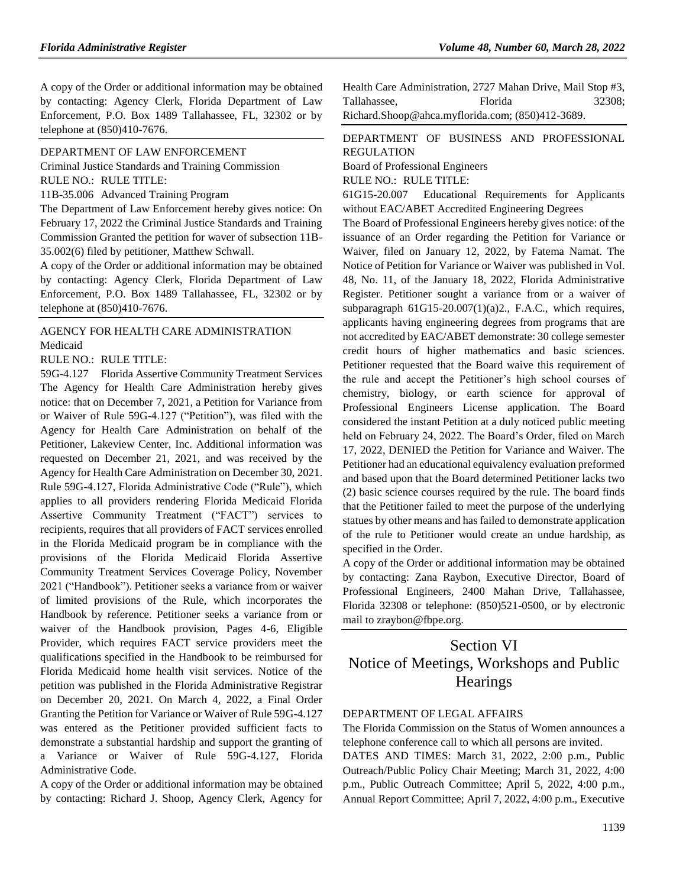A copy of the Order or additional information may be obtained by contacting: Agency Clerk, Florida Department of Law Enforcement, P.O. Box 1489 Tallahassee, FL, 32302 or by telephone at (850)410-7676.

#### [DEPARTMENT OF LAW ENFORCEMENT](https://www.flrules.org/gateway/department.asp?id=11)

[Criminal Justice Standards and Training Commission](https://www.flrules.org/gateway/organization.asp?id=20) RULE NO.: RULE TITLE:

[11B-35.006](https://www.flrules.org/gateway/ruleNo.asp?id=11B-35.006) Advanced Training Program

The Department of Law Enforcement hereby gives notice: On February 17, 2022 the Criminal Justice Standards and Training Commission Granted the petition for waver of subsection 11B-35.002(6) filed by petitioner, Matthew Schwall.

A copy of the Order or additional information may be obtained by contacting: Agency Clerk, Florida Department of Law Enforcement, P.O. Box 1489 Tallahassee, FL, 32302 or by telephone at (850)410-7676.

# [AGENCY FOR HEALTH CARE ADMINISTRATION](https://www.flrules.org/gateway/department.asp?id=59) [Medicaid](https://www.flrules.org/gateway/organization.asp?id=192)

RULE NO.: RULE TITLE:

[59G-4.127](https://www.flrules.org/gateway/ruleNo.asp?id=59G-4.127) Florida Assertive Community Treatment Services The Agency for Health Care Administration hereby gives notice: that on December 7, 2021, a Petition for Variance from or Waiver of Rule 59G-4.127 ("Petition"), was filed with the Agency for Health Care Administration on behalf of the Petitioner, Lakeview Center, Inc. Additional information was requested on December 21, 2021, and was received by the Agency for Health Care Administration on December 30, 2021. Rule 59G-4.127, Florida Administrative Code ("Rule"), which applies to all providers rendering Florida Medicaid Florida Assertive Community Treatment ("FACT") services to recipients, requires that all providers of FACT services enrolled in the Florida Medicaid program be in compliance with the provisions of the Florida Medicaid Florida Assertive Community Treatment Services Coverage Policy, November 2021 ("Handbook"). Petitioner seeks a variance from or waiver of limited provisions of the Rule, which incorporates the Handbook by reference. Petitioner seeks a variance from or waiver of the Handbook provision, Pages 4-6, Eligible Provider, which requires FACT service providers meet the qualifications specified in the Handbook to be reimbursed for Florida Medicaid home health visit services. Notice of the petition was published in the Florida Administrative Registrar on December 20, 2021. On March 4, 2022, a Final Order Granting the Petition for Variance or Waiver of Rule 59G-4.127 was entered as the Petitioner provided sufficient facts to demonstrate a substantial hardship and support the granting of a Variance or Waiver of Rule 59G-4.127, Florida Administrative Code.

A copy of the Order or additional information may be obtained by contacting: Richard J. Shoop, Agency Clerk, Agency for Health Care Administration, 2727 Mahan Drive, Mail Stop #3, Tallahassee. Florida 32308: Richard.Shoop@ahca.myflorida.com; (850)412-3689.

# [DEPARTMENT OF BUSINESS AND PROFESSIONAL](https://www.flrules.org/gateway/department.asp?id=61)  [REGULATION](https://www.flrules.org/gateway/department.asp?id=61)

[Board of Professional Engineers](https://www.flrules.org/gateway/organization.asp?id=267)

RULE NO.: RULE TITLE:

[61G15-20.007](https://www.flrules.org/gateway/ruleNo.asp?id=61G15-20.007) Educational Requirements for Applicants without EAC/ABET Accredited Engineering Degrees

The Board of Professional Engineers hereby gives notice: of the issuance of an Order regarding the Petition for Variance or Waiver, filed on January 12, 2022, by Fatema Namat. The Notice of Petition for Variance or Waiver was published in Vol. 48, No. 11, of the January 18, 2022, Florida Administrative Register. Petitioner sought a variance from or a waiver of subparagraph  $61G15-20.007(1)(a)2$ ., F.A.C., which requires, applicants having engineering degrees from programs that are not accredited by EAC/ABET demonstrate: 30 college semester credit hours of higher mathematics and basic sciences. Petitioner requested that the Board waive this requirement of the rule and accept the Petitioner's high school courses of chemistry, biology, or earth science for approval of Professional Engineers License application. The Board considered the instant Petition at a duly noticed public meeting held on February 24, 2022. The Board's Order, filed on March 17, 2022, DENIED the Petition for Variance and Waiver. The Petitioner had an educational equivalency evaluation preformed and based upon that the Board determined Petitioner lacks two (2) basic science courses required by the rule. The board finds that the Petitioner failed to meet the purpose of the underlying statues by other means and has failed to demonstrate application of the rule to Petitioner would create an undue hardship, as specified in the Order.

A copy of the Order or additional information may be obtained by contacting: Zana Raybon, Executive Director, Board of Professional Engineers, 2400 Mahan Drive, Tallahassee, Florida 32308 or telephone: (850)521-0500, or by electronic mail to zraybon@fbpe.org.

# Section VI Notice of Meetings, Workshops and Public **Hearings**

# [DEPARTMENT OF LEGAL AFFAIRS](https://www.flrules.org/gateway/department.asp?id=2)

The Florida Commission on the Status of Women announces a telephone conference call to which all persons are invited.

DATES AND TIMES: March 31, 2022, 2:00 p.m., Public Outreach/Public Policy Chair Meeting; March 31, 2022, 4:00 p.m., Public Outreach Committee; April 5, 2022, 4:00 p.m., Annual Report Committee; April 7, 2022, 4:00 p.m., Executive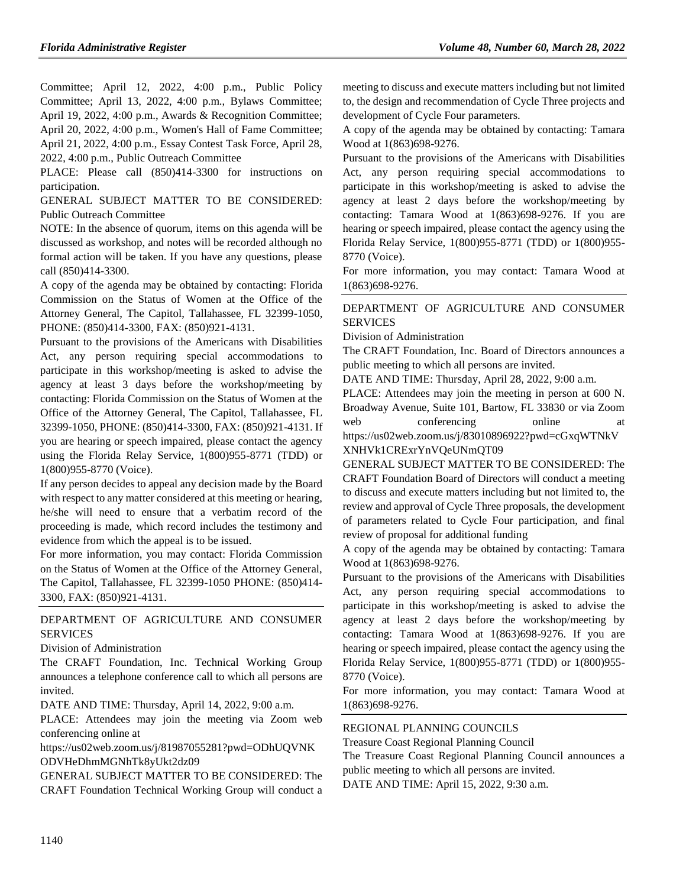Committee; April 12, 2022, 4:00 p.m., Public Policy Committee; April 13, 2022, 4:00 p.m., Bylaws Committee; April 19, 2022, 4:00 p.m., Awards & Recognition Committee; April 20, 2022, 4:00 p.m., Women's Hall of Fame Committee; April 21, 2022, 4:00 p.m., Essay Contest Task Force, April 28, 2022, 4:00 p.m., Public Outreach Committee

PLACE: Please call (850)414-3300 for instructions on participation.

GENERAL SUBJECT MATTER TO BE CONSIDERED: Public Outreach Committee

NOTE: In the absence of quorum, items on this agenda will be discussed as workshop, and notes will be recorded although no formal action will be taken. If you have any questions, please call (850)414-3300.

A copy of the agenda may be obtained by contacting: Florida Commission on the Status of Women at the Office of the Attorney General, The Capitol, Tallahassee, FL 32399-1050, PHONE: (850)414-3300, FAX: (850)921-4131.

Pursuant to the provisions of the Americans with Disabilities Act, any person requiring special accommodations to participate in this workshop/meeting is asked to advise the agency at least 3 days before the workshop/meeting by contacting: Florida Commission on the Status of Women at the Office of the Attorney General, The Capitol, Tallahassee, FL 32399-1050, PHONE: (850)414-3300, FAX: (850)921-4131. If you are hearing or speech impaired, please contact the agency using the Florida Relay Service, 1(800)955-8771 (TDD) or 1(800)955-8770 (Voice).

If any person decides to appeal any decision made by the Board with respect to any matter considered at this meeting or hearing, he/she will need to ensure that a verbatim record of the proceeding is made, which record includes the testimony and evidence from which the appeal is to be issued.

For more information, you may contact: Florida Commission on the Status of Women at the Office of the Attorney General, The Capitol, Tallahassee, FL 32399-1050 PHONE: (850)414- 3300, FAX: (850)921-4131.

# [DEPARTMENT OF AGRICULTURE AND CONSUMER](https://www.flrules.org/gateway/department.asp?id=5)  **[SERVICES](https://www.flrules.org/gateway/department.asp?id=5)**

#### [Division of Administration](https://www.flrules.org/gateway/organization.asp?id=161)

The CRAFT Foundation, Inc. Technical Working Group announces a telephone conference call to which all persons are invited.

DATE AND TIME: Thursday, April 14, 2022, 9:00 a.m.

PLACE: Attendees may join the meeting via Zoom web conferencing online at

https://us02web.zoom.us/j/81987055281?pwd=ODhUQVNK ODVHeDhmMGNhTk8yUkt2dz09

GENERAL SUBJECT MATTER TO BE CONSIDERED: The CRAFT Foundation Technical Working Group will conduct a meeting to discuss and execute matters including but not limited to, the design and recommendation of Cycle Three projects and development of Cycle Four parameters.

A copy of the agenda may be obtained by contacting: Tamara Wood at 1(863)698-9276.

Pursuant to the provisions of the Americans with Disabilities Act, any person requiring special accommodations to participate in this workshop/meeting is asked to advise the agency at least 2 days before the workshop/meeting by contacting: Tamara Wood at 1(863)698-9276. If you are hearing or speech impaired, please contact the agency using the Florida Relay Service, 1(800)955-8771 (TDD) or 1(800)955- 8770 (Voice).

For more information, you may contact: Tamara Wood at 1(863)698-9276.

# [DEPARTMENT OF AGRICULTURE AND CONSUMER](https://www.flrules.org/gateway/department.asp?id=5)  [SERVICES](https://www.flrules.org/gateway/department.asp?id=5)

[Division of Administration](https://www.flrules.org/gateway/organization.asp?id=161)

The CRAFT Foundation, Inc. Board of Directors announces a public meeting to which all persons are invited.

DATE AND TIME: Thursday, April 28, 2022, 9:00 a.m.

PLACE: Attendees may join the meeting in person at 600 N. Broadway Avenue, Suite 101, Bartow, FL 33830 or via Zoom web conferencing online at

https://us02web.zoom.us/j/83010896922?pwd=cGxqWTNkV XNHVk1CRExrYnVQeUNmQT09

GENERAL SUBJECT MATTER TO BE CONSIDERED: The CRAFT Foundation Board of Directors will conduct a meeting to discuss and execute matters including but not limited to, the review and approval of Cycle Three proposals, the development of parameters related to Cycle Four participation, and final review of proposal for additional funding

A copy of the agenda may be obtained by contacting: Tamara Wood at 1(863)698-9276.

Pursuant to the provisions of the Americans with Disabilities Act, any person requiring special accommodations to participate in this workshop/meeting is asked to advise the agency at least 2 days before the workshop/meeting by contacting: Tamara Wood at 1(863)698-9276. If you are hearing or speech impaired, please contact the agency using the Florida Relay Service, 1(800)955-8771 (TDD) or 1(800)955- 8770 (Voice).

For more information, you may contact: Tamara Wood at 1(863)698-9276.

## [REGIONAL PLANNING COUNCILS](https://www.flrules.org/gateway/department.asp?id=29)

[Treasure Coast Regional Planning Council](https://www.flrules.org/gateway/organization.asp?id=67)

The Treasure Coast Regional Planning Council announces a public meeting to which all persons are invited.

DATE AND TIME: April 15, 2022, 9:30 a.m.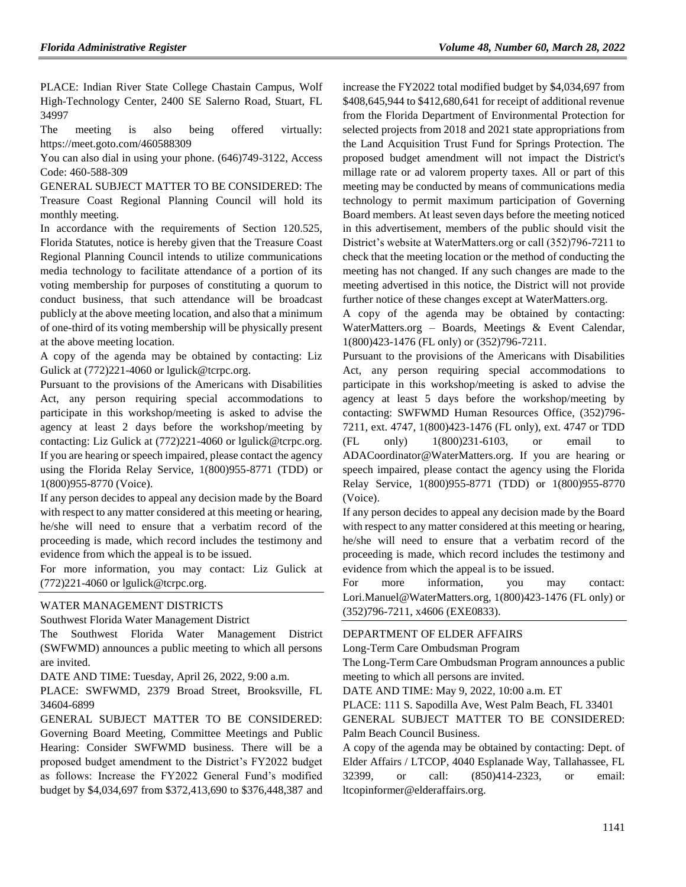PLACE: Indian River State College Chastain Campus, Wolf High-Technology Center, 2400 SE Salerno Road, Stuart, FL 34997

The meeting is also being offered virtually: https://meet.goto.com/460588309

You can also dial in using your phone. (646)749-3122, Access Code: 460-588-309

GENERAL SUBJECT MATTER TO BE CONSIDERED: The Treasure Coast Regional Planning Council will hold its monthly meeting.

In accordance with the requirements of Section 120.525, Florida Statutes, notice is hereby given that the Treasure Coast Regional Planning Council intends to utilize communications media technology to facilitate attendance of a portion of its voting membership for purposes of constituting a quorum to conduct business, that such attendance will be broadcast publicly at the above meeting location, and also that a minimum of one-third of its voting membership will be physically present at the above meeting location.

A copy of the agenda may be obtained by contacting: Liz Gulick at (772)221-4060 or lgulick@tcrpc.org.

Pursuant to the provisions of the Americans with Disabilities Act, any person requiring special accommodations to participate in this workshop/meeting is asked to advise the agency at least 2 days before the workshop/meeting by contacting: Liz Gulick at (772)221-4060 or lgulick@tcrpc.org. If you are hearing or speech impaired, please contact the agency using the Florida Relay Service, 1(800)955-8771 (TDD) or 1(800)955-8770 (Voice).

If any person decides to appeal any decision made by the Board with respect to any matter considered at this meeting or hearing, he/she will need to ensure that a verbatim record of the proceeding is made, which record includes the testimony and evidence from which the appeal is to be issued.

For more information, you may contact: Liz Gulick at (772)221-4060 or lgulick@tcrpc.org.

#### [WATER MANAGEMENT DISTRICTS](https://www.flrules.org/gateway/department.asp?id=40)

[Southwest Florida Water Management District](https://www.flrules.org/gateway/organization.asp?id=123)

The Southwest Florida Water Management District (SWFWMD) announces a public meeting to which all persons are invited.

DATE AND TIME: Tuesday, April 26, 2022, 9:00 a.m.

PLACE: SWFWMD, 2379 Broad Street, Brooksville, FL 34604-6899

GENERAL SUBJECT MATTER TO BE CONSIDERED: Governing Board Meeting, Committee Meetings and Public Hearing: Consider SWFWMD business. There will be a proposed budget amendment to the District's FY2022 budget as follows: Increase the FY2022 General Fund's modified budget by \$4,034,697 from \$372,413,690 to \$376,448,387 and increase the FY2022 total modified budget by \$4,034,697 from \$408,645,944 to \$412,680,641 for receipt of additional revenue from the Florida Department of Environmental Protection for selected projects from 2018 and 2021 state appropriations from the Land Acquisition Trust Fund for Springs Protection. The proposed budget amendment will not impact the District's millage rate or ad valorem property taxes. All or part of this meeting may be conducted by means of communications media technology to permit maximum participation of Governing Board members. At least seven days before the meeting noticed in this advertisement, members of the public should visit the District's website at WaterMatters.org or call (352)796-7211 to check that the meeting location or the method of conducting the meeting has not changed. If any such changes are made to the meeting advertised in this notice, the District will not provide further notice of these changes except at WaterMatters.org.

A copy of the agenda may be obtained by contacting: WaterMatters.org – Boards, Meetings & Event Calendar, 1(800)423-1476 (FL only) or (352)796-7211.

Pursuant to the provisions of the Americans with Disabilities Act, any person requiring special accommodations to participate in this workshop/meeting is asked to advise the agency at least 5 days before the workshop/meeting by contacting: SWFWMD Human Resources Office, (352)796- 7211, ext. 4747, 1(800)423-1476 (FL only), ext. 4747 or TDD (FL only) 1(800)231-6103, or email to ADACoordinator@WaterMatters.org. If you are hearing or speech impaired, please contact the agency using the Florida Relay Service, 1(800)955-8771 (TDD) or 1(800)955-8770 (Voice).

If any person decides to appeal any decision made by the Board with respect to any matter considered at this meeting or hearing, he/she will need to ensure that a verbatim record of the proceeding is made, which record includes the testimony and evidence from which the appeal is to be issued.

For more information, you may contact: Lori.Manuel@WaterMatters.org, 1(800)423-1476 (FL only) or (352)796-7211, x4606 (EXE0833).

### [DEPARTMENT OF ELDER AFFAIRS](https://www.flrules.org/gateway/department.asp?id=58)

[Long-Term Care Ombudsman Program](https://www.flrules.org/gateway/organization.asp?id=184)

The Long-Term Care Ombudsman Program announces a public meeting to which all persons are invited.

DATE AND TIME: May 9, 2022, 10:00 a.m. ET

PLACE: 111 S. Sapodilla Ave, West Palm Beach, FL 33401

GENERAL SUBJECT MATTER TO BE CONSIDERED: Palm Beach Council Business.

A copy of the agenda may be obtained by contacting: Dept. of Elder Affairs / LTCOP, 4040 Esplanade Way, Tallahassee, FL 32399, or call: (850)414-2323, or email: ltcopinformer@elderaffairs.org.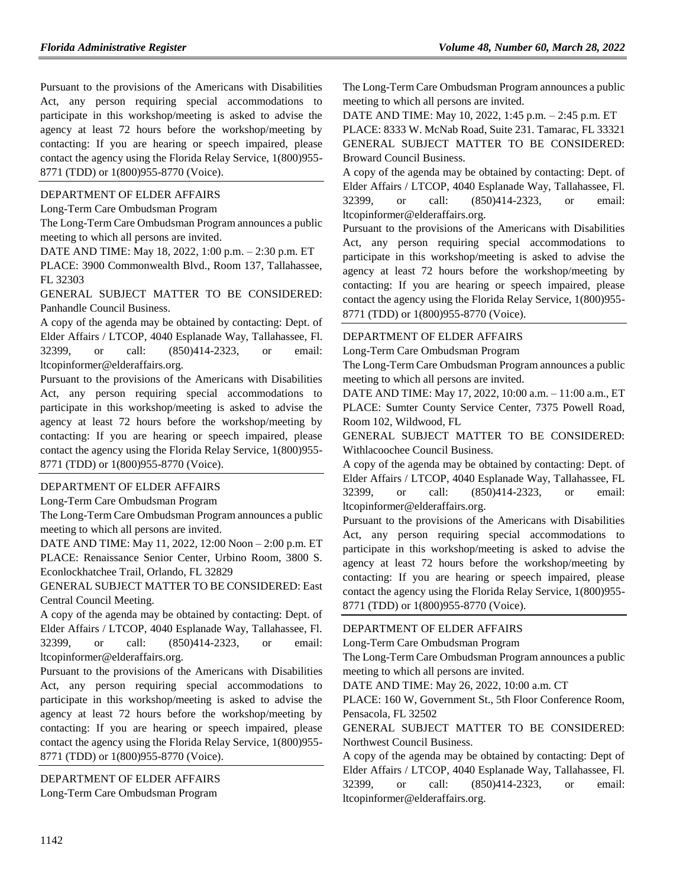Pursuant to the provisions of the Americans with Disabilities Act, any person requiring special accommodations to participate in this workshop/meeting is asked to advise the agency at least 72 hours before the workshop/meeting by contacting: If you are hearing or speech impaired, please contact the agency using the Florida Relay Service, 1(800)955- 8771 (TDD) or 1(800)955-8770 (Voice).

### [DEPARTMENT OF ELDER AFFAIRS](https://www.flrules.org/gateway/department.asp?id=58)

[Long-Term Care Ombudsman Program](https://www.flrules.org/gateway/organization.asp?id=184)

The Long-Term Care Ombudsman Program announces a public meeting to which all persons are invited.

DATE AND TIME: May 18, 2022, 1:00 p.m. – 2:30 p.m. ET

PLACE: 3900 Commonwealth Blvd., Room 137, Tallahassee, FL 32303

GENERAL SUBJECT MATTER TO BE CONSIDERED: Panhandle Council Business.

A copy of the agenda may be obtained by contacting: Dept. of Elder Affairs / LTCOP, 4040 Esplanade Way, Tallahassee, Fl. 32399, or call: (850)414-2323, or email: ltcopinformer@elderaffairs.org.

Pursuant to the provisions of the Americans with Disabilities Act, any person requiring special accommodations to participate in this workshop/meeting is asked to advise the agency at least 72 hours before the workshop/meeting by contacting: If you are hearing or speech impaired, please contact the agency using the Florida Relay Service, 1(800)955- 8771 (TDD) or 1(800)955-8770 (Voice).

## [DEPARTMENT OF ELDER AFFAIRS](https://www.flrules.org/gateway/department.asp?id=58)

[Long-Term Care Ombudsman Program](https://www.flrules.org/gateway/organization.asp?id=184)

The Long-Term Care Ombudsman Program announces a public meeting to which all persons are invited.

DATE AND TIME: May 11, 2022, 12:00 Noon – 2:00 p.m. ET PLACE: Renaissance Senior Center, Urbino Room, 3800 S. Econlockhatchee Trail, Orlando, FL 32829

GENERAL SUBJECT MATTER TO BE CONSIDERED: East Central Council Meeting.

A copy of the agenda may be obtained by contacting: Dept. of Elder Affairs / LTCOP, 4040 Esplanade Way, Tallahassee, Fl. 32399, or call: (850)414-2323, or email: ltcopinformer@elderaffairs.org.

Pursuant to the provisions of the Americans with Disabilities Act, any person requiring special accommodations to participate in this workshop/meeting is asked to advise the agency at least 72 hours before the workshop/meeting by contacting: If you are hearing or speech impaired, please contact the agency using the Florida Relay Service, 1(800)955- 8771 (TDD) or 1(800)955-8770 (Voice).

[DEPARTMENT OF ELDER AFFAIRS](https://www.flrules.org/gateway/department.asp?id=58) [Long-Term Care Ombudsman Program](https://www.flrules.org/gateway/organization.asp?id=184)

The Long-Term Care Ombudsman Program announces a public meeting to which all persons are invited.

DATE AND TIME: May 10, 2022, 1:45 p.m. – 2:45 p.m. ET PLACE: 8333 W. McNab Road, Suite 231. Tamarac, FL 33321 GENERAL SUBJECT MATTER TO BE CONSIDERED: Broward Council Business.

A copy of the agenda may be obtained by contacting: Dept. of Elder Affairs / LTCOP, 4040 Esplanade Way, Tallahassee, Fl. 32399, or call: (850)414-2323, or email: ltcopinformer@elderaffairs.org.

Pursuant to the provisions of the Americans with Disabilities Act, any person requiring special accommodations to participate in this workshop/meeting is asked to advise the agency at least 72 hours before the workshop/meeting by contacting: If you are hearing or speech impaired, please contact the agency using the Florida Relay Service, 1(800)955- 8771 (TDD) or 1(800)955-8770 (Voice).

## [DEPARTMENT OF ELDER](https://www.flrules.org/gateway/department.asp?id=58) AFFAIRS

[Long-Term Care Ombudsman Program](https://www.flrules.org/gateway/organization.asp?id=184)

The Long-Term Care Ombudsman Program announces a public meeting to which all persons are invited.

DATE AND TIME: May 17, 2022, 10:00 a.m. – 11:00 a.m., ET PLACE: Sumter County Service Center, 7375 Powell Road, Room 102, Wildwood, FL

GENERAL SUBJECT MATTER TO BE CONSIDERED: Withlacoochee Council Business.

A copy of the agenda may be obtained by contacting: Dept. of Elder Affairs / LTCOP, 4040 Esplanade Way, Tallahassee, FL 32399, or call: (850)414-2323, or email: ltcopinformer@elderaffairs.org.

Pursuant to the provisions of the Americans with Disabilities Act, any person requiring special accommodations to participate in this workshop/meeting is asked to advise the agency at least 72 hours before the workshop/meeting by contacting: If you are hearing or speech impaired, please contact the agency using the Florida Relay Service, 1(800)955- 8771 (TDD) or 1(800)955-8770 (Voice).

## [DEPARTMENT OF ELDER AFFAIRS](https://www.flrules.org/gateway/department.asp?id=58)

[Long-Term Care Ombudsman Program](https://www.flrules.org/gateway/organization.asp?id=184)

The Long-Term Care Ombudsman Program announces a public meeting to which all persons are invited.

DATE AND TIME: May 26, 2022, 10:00 a.m. CT

PLACE: 160 W, Government St., 5th Floor Conference Room, Pensacola, FL 32502

GENERAL SUBJECT MATTER TO BE CONSIDERED: Northwest Council Business.

A copy of the agenda may be obtained by contacting: Dept of Elder Affairs / LTCOP, 4040 Esplanade Way, Tallahassee, Fl. 32399, or call: (850)414-2323, or email: ltcopinformer@elderaffairs.org.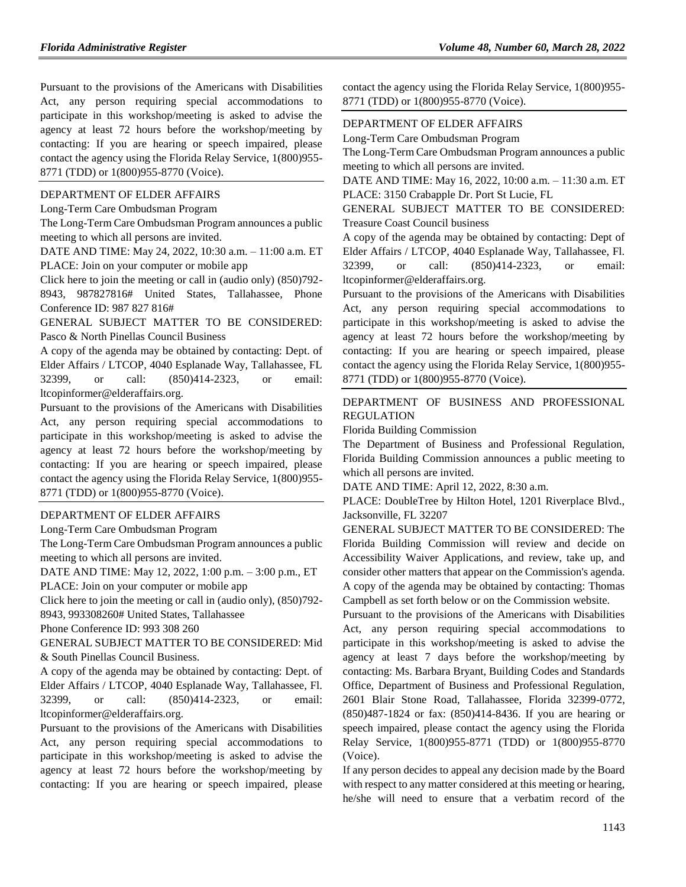Pursuant to the provisions of the Americans with Disabilities Act, any person requiring special accommodations to participate in this workshop/meeting is asked to advise the agency at least 72 hours before the workshop/meeting by contacting: If you are hearing or speech impaired, please contact the agency using the Florida Relay Service, 1(800)955- 8771 (TDD) or 1(800)955-8770 (Voice).

#### [DEPARTMENT OF ELDER AFFAIRS](https://www.flrules.org/gateway/department.asp?id=58)

[Long-Term Care Ombudsman Program](https://www.flrules.org/gateway/organization.asp?id=184)

The Long-Term Care Ombudsman Program announces a public meeting to which all persons are invited.

DATE AND TIME: May 24, 2022, 10:30 a.m. – 11:00 a.m. ET PLACE: Join on your computer or mobile app

Click here to join the meeting or call in (audio only) (850)792- 8943, 987827816# United States, Tallahassee, Phone Conference ID: 987 827 816#

GENERAL SUBJECT MATTER TO BE CONSIDERED: Pasco & North Pinellas Council Business

A copy of the agenda may be obtained by contacting: Dept. of Elder Affairs / LTCOP, 4040 Esplanade Way, Tallahassee, FL 32399, or call: (850)414-2323, or email: ltcopinformer@elderaffairs.org.

Pursuant to the provisions of the Americans with Disabilities Act, any person requiring special accommodations to participate in this workshop/meeting is asked to advise the agency at least 72 hours before the workshop/meeting by contacting: If you are hearing or speech impaired, please contact the agency using the Florida Relay Service, 1(800)955- 8771 (TDD) or 1(800)955-8770 (Voice).

#### [DEPARTMENT OF ELDER AFFAIRS](https://www.flrules.org/gateway/department.asp?id=58)

Long-Term Care [Ombudsman Program](https://www.flrules.org/gateway/organization.asp?id=184)

The Long-Term Care Ombudsman Program announces a public meeting to which all persons are invited.

DATE AND TIME: May 12, 2022, 1:00 p.m. – 3:00 p.m., ET PLACE: Join on your computer or mobile app

Click here to join the meeting or call in (audio only), (850)792-

8943, 993308260# United States, Tallahassee

Phone Conference ID: 993 308 260

GENERAL SUBJECT MATTER TO BE CONSIDERED: Mid & South Pinellas Council Business.

A copy of the agenda may be obtained by contacting: Dept. of Elder Affairs / LTCOP, 4040 Esplanade Way, Tallahassee, Fl. 32399, or call: (850)414-2323, or email: ltcopinformer@elderaffairs.org.

Pursuant to the provisions of the Americans with Disabilities Act, any person requiring special accommodations to participate in this workshop/meeting is asked to advise the agency at least 72 hours before the workshop/meeting by contacting: If you are hearing or speech impaired, please

contact the agency using the Florida Relay Service, 1(800)955- 8771 (TDD) or 1(800)955-8770 (Voice).

### [DEPARTMENT OF ELDER AFFAIRS](https://www.flrules.org/gateway/department.asp?id=58)

[Long-Term Care Ombudsman Program](https://www.flrules.org/gateway/organization.asp?id=184)

The Long-Term Care Ombudsman Program announces a public meeting to which all persons are invited.

DATE AND TIME: May 16, 2022, 10:00 a.m. – 11:30 a.m. ET PLACE: 3150 Crabapple Dr. Port St Lucie, FL

GENERAL SUBJECT MATTER TO BE CONSIDERED: Treasure Coast Council business

A copy of the agenda may be obtained by contacting: Dept of Elder Affairs / LTCOP, 4040 Esplanade Way, Tallahassee, Fl. 32399, or call: (850)414-2323, or email: ltcopinformer@elderaffairs.org.

Pursuant to the provisions of the Americans with Disabilities Act, any person requiring special accommodations to participate in this workshop/meeting is asked to advise the agency at least 72 hours before the workshop/meeting by contacting: If you are hearing or speech impaired, please contact the agency using the Florida Relay Service, 1(800)955- 8771 (TDD) or 1(800)955-8770 (Voice).

# [DEPARTMENT OF BUSINESS AND PROFESSIONAL](https://www.flrules.org/gateway/department.asp?id=61)  [REGULATION](https://www.flrules.org/gateway/department.asp?id=61)

[Florida Building Commission](https://www.flrules.org/gateway/organization.asp?id=1071)

The Department of Business and Professional Regulation, Florida Building Commission announces a public meeting to which all persons are invited.

DATE AND TIME: April 12, 2022, 8:30 a.m.

PLACE: DoubleTree by Hilton Hotel, 1201 Riverplace Blvd., Jacksonville, FL 32207

GENERAL SUBJECT MATTER TO BE CONSIDERED: The Florida Building Commission will review and decide on Accessibility Waiver Applications, and review, take up, and consider other matters that appear on the Commission's agenda. A copy of the agenda may be obtained by contacting: Thomas Campbell as set forth below or on the Commission website.

Pursuant to the provisions of the Americans with Disabilities Act, any person requiring special accommodations to participate in this workshop/meeting is asked to advise the agency at least 7 days before the workshop/meeting by contacting: Ms. Barbara Bryant, Building Codes and Standards Office, Department of Business and Professional Regulation, 2601 Blair Stone Road, Tallahassee, Florida 32399-0772, (850)487-1824 or fax: (850)414-8436. If you are hearing or speech impaired, please contact the agency using the Florida Relay Service, 1(800)955-8771 (TDD) or 1(800)955-8770 (Voice).

If any person decides to appeal any decision made by the Board with respect to any matter considered at this meeting or hearing, he/she will need to ensure that a verbatim record of the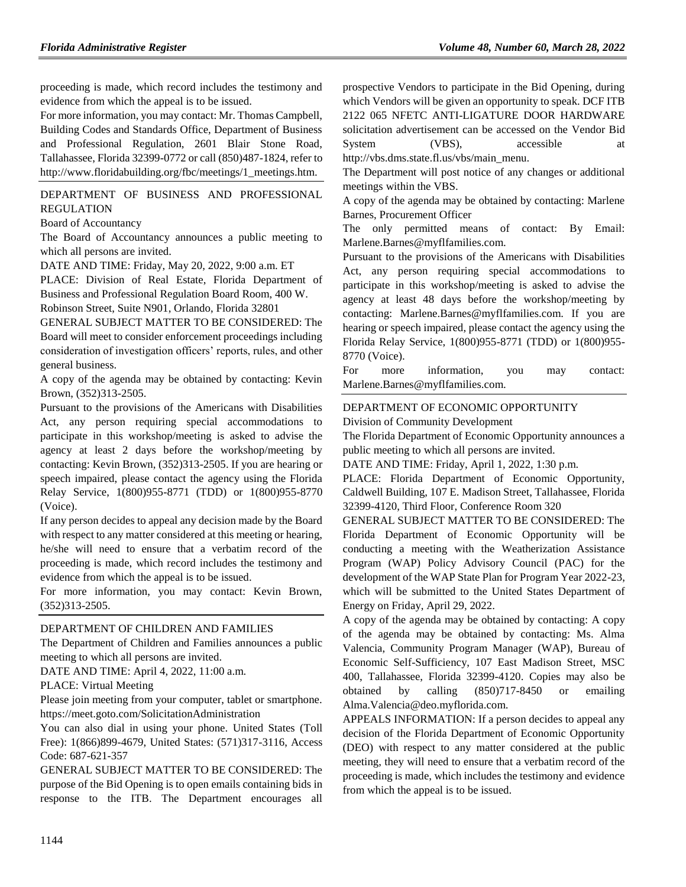proceeding is made, which record includes the testimony and evidence from which the appeal is to be issued.

For more information, you may contact: Mr. Thomas Campbell, Building Codes and Standards Office, Department of Business and Professional Regulation, 2601 Blair Stone Road, Tallahassee, Florida 32399-0772 or call (850)487-1824, refer to http://www.floridabuilding.org/fbc/meetings/1\_meetings.htm.

[DEPARTMENT OF BUSINESS AND PROFESSIONAL](https://www.flrules.org/gateway/department.asp?id=61)  [REGULATION](https://www.flrules.org/gateway/department.asp?id=61)

[Board of Accountancy](https://www.flrules.org/gateway/organization.asp?id=280)

The Board of Accountancy announces a public meeting to which all persons are invited.

DATE AND TIME: Friday, May 20, 2022, 9:00 a.m. ET

PLACE: Division of Real Estate, Florida Department of Business and Professional Regulation Board Room, 400 W. Robinson Street, Suite N901, Orlando, Florida 32801

GENERAL SUBJECT MATTER TO BE CONSIDERED: The Board will meet to consider enforcement proceedings including consideration of investigation officers' reports, rules, and other general business.

A copy of the agenda may be obtained by contacting: Kevin Brown, (352)313-2505.

Pursuant to the provisions of the Americans with Disabilities Act, any person requiring special accommodations to participate in this workshop/meeting is asked to advise the agency at least 2 days before the workshop/meeting by contacting: Kevin Brown, (352)313-2505. If you are hearing or speech impaired, please contact the agency using the Florida Relay Service, 1(800)955-8771 (TDD) or 1(800)955-8770 (Voice).

If any person decides to appeal any decision made by the Board with respect to any matter considered at this meeting or hearing, he/she will need to ensure that a verbatim record of the proceeding is made, which record includes the testimony and evidence from which the appeal is to be issued.

For more information, you may contact: Kevin Brown, (352)313-2505.

#### [DEPARTMENT OF CHILDREN AND FAMILIES](https://www.flrules.org/gateway/department.asp?id=65)

The Department of Children and Families announces a public meeting to which all persons are invited.

DATE AND TIME: April 4, 2022, 11:00 a.m.

PLACE: Virtual Meeting

Please join meeting from your computer, tablet or smartphone. https://meet.goto.com/SolicitationAdministration

You can also dial in using your phone. United States (Toll Free): 1(866)899-4679, United States: (571)317-3116, Access Code: 687-621-357

GENERAL SUBJECT MATTER TO BE CONSIDERED: The purpose of the Bid Opening is to open emails containing bids in response to the ITB. The Department encourages all prospective Vendors to participate in the Bid Opening, during which Vendors will be given an opportunity to speak. DCF ITB 2122 065 NFETC ANTI-LIGATURE DOOR HARDWARE solicitation advertisement can be accessed on the Vendor Bid System (VBS), accessible at http://vbs.dms.state.fl.us/vbs/main\_menu.

The Department will post notice of any changes or additional meetings within the VBS.

A copy of the agenda may be obtained by contacting: Marlene Barnes, Procurement Officer

The only permitted means of contact: By Email: Marlene.Barnes@myflfamilies.com.

Pursuant to the provisions of the Americans with Disabilities Act, any person requiring special accommodations to participate in this workshop/meeting is asked to advise the agency at least 48 days before the workshop/meeting by contacting: Marlene.Barnes@myflfamilies.com. If you are hearing or speech impaired, please contact the agency using the Florida Relay Service, 1(800)955-8771 (TDD) or 1(800)955- 8770 (Voice).

For more information, you may contact: Marlene.Barnes@myflfamilies.com.

[DEPARTMENT OF ECONOMIC OPPORTUNITY](https://www.flrules.org/gateway/department.asp?id=73) [Division of Community Development](https://www.flrules.org/gateway/organization.asp?id=1066)

The Florida Department of Economic Opportunity announces a public meeting to which all persons are invited.

DATE AND TIME: Friday, April 1, 2022, 1:30 p.m.

PLACE: Florida Department of Economic Opportunity, Caldwell Building, 107 E. Madison Street, Tallahassee, Florida 32399-4120, Third Floor, Conference Room 320

GENERAL SUBJECT MATTER TO BE CONSIDERED: The Florida Department of Economic Opportunity will be conducting a meeting with the Weatherization Assistance Program (WAP) Policy Advisory Council (PAC) for the development of the WAP State Plan for Program Year 2022-23, which will be submitted to the United States Department of Energy on Friday, April 29, 2022.

A copy of the agenda may be obtained by contacting: A copy of the agenda may be obtained by contacting: Ms. Alma Valencia, Community Program Manager (WAP), Bureau of Economic Self-Sufficiency, 107 East Madison Street, MSC 400, Tallahassee, Florida 32399-4120. Copies may also be obtained by calling (850)717-8450 or emailing Alma.Valencia@deo.myflorida.com.

APPEALS INFORMATION: If a person decides to appeal any decision of the Florida Department of Economic Opportunity (DEO) with respect to any matter considered at the public meeting, they will need to ensure that a verbatim record of the proceeding is made, which includes the testimony and evidence from which the appeal is to be issued.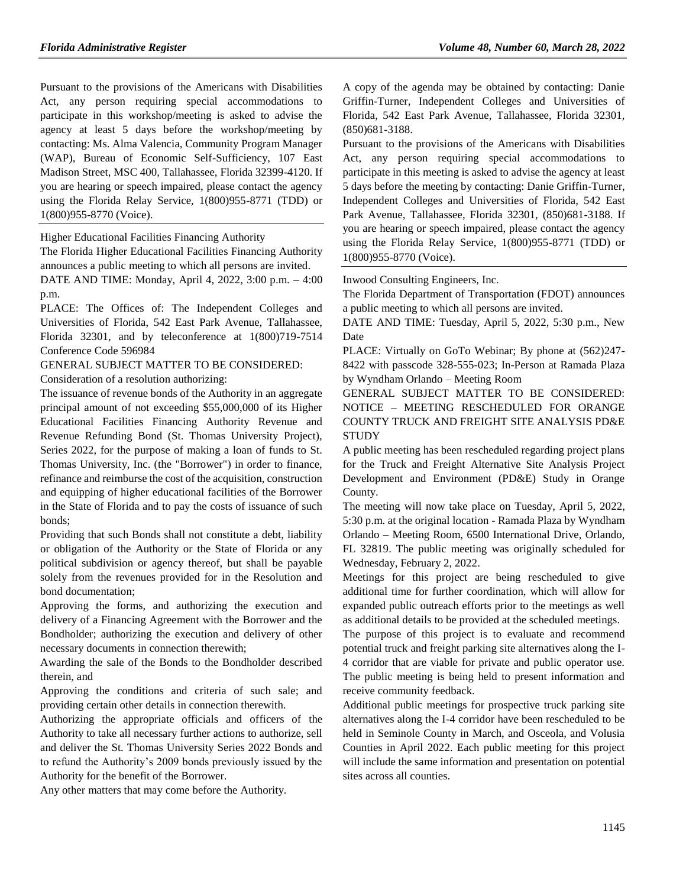Pursuant to the provisions of the Americans with Disabilities Act, any person requiring special accommodations to participate in this workshop/meeting is asked to advise the agency at least 5 days before the workshop/meeting by contacting: Ms. Alma Valencia, Community Program Manager (WAP), Bureau of Economic Self-Sufficiency, 107 East Madison Street, MSC 400, Tallahassee, Florida 32399-4120. If you are hearing or speech impaired, please contact the agency using the Florida Relay Service, 1(800)955-8771 (TDD) or 1(800)955-8770 (Voice).

Higher Educational Facilities Financing Authority

The Florida Higher Educational Facilities Financing Authority announces a public meeting to which all persons are invited.

DATE AND TIME: Monday, April 4, 2022, 3:00 p.m. – 4:00 p.m.

PLACE: The Offices of: The Independent Colleges and Universities of Florida, 542 East Park Avenue, Tallahassee, Florida 32301, and by teleconference at 1(800)719-7514 Conference Code 596984

GENERAL SUBJECT MATTER TO BE CONSIDERED:

Consideration of a resolution authorizing:

The issuance of revenue bonds of the Authority in an aggregate principal amount of not exceeding \$55,000,000 of its Higher Educational Facilities Financing Authority Revenue and Revenue Refunding Bond (St. Thomas University Project), Series 2022, for the purpose of making a loan of funds to St. Thomas University, Inc. (the "Borrower") in order to finance, refinance and reimburse the cost of the acquisition, construction and equipping of higher educational facilities of the Borrower in the State of Florida and to pay the costs of issuance of such bonds;

Providing that such Bonds shall not constitute a debt, liability or obligation of the Authority or the State of Florida or any political subdivision or agency thereof, but shall be payable solely from the revenues provided for in the Resolution and bond documentation;

Approving the forms, and authorizing the execution and delivery of a Financing Agreement with the Borrower and the Bondholder; authorizing the execution and delivery of other necessary documents in connection therewith;

Awarding the sale of the Bonds to the Bondholder described therein, and

Approving the conditions and criteria of such sale; and providing certain other details in connection therewith.

Authorizing the appropriate officials and officers of the Authority to take all necessary further actions to authorize, sell and deliver the St. Thomas University Series 2022 Bonds and to refund the Authority's 2009 bonds previously issued by the Authority for the benefit of the Borrower.

Any other matters that may come before the Authority.

A copy of the agenda may be obtained by contacting: Danie Griffin-Turner, Independent Colleges and Universities of Florida, 542 East Park Avenue, Tallahassee, Florida 32301, (850)681-3188.

Pursuant to the provisions of the Americans with Disabilities Act, any person requiring special accommodations to participate in this meeting is asked to advise the agency at least 5 days before the meeting by contacting: Danie Griffin-Turner, Independent Colleges and Universities of Florida, 542 East Park Avenue, Tallahassee, Florida 32301, (850)681-3188. If you are hearing or speech impaired, please contact the agency using the Florida Relay Service, 1(800)955-8771 (TDD) or 1(800)955-8770 (Voice).

[Inwood Consulting Engineers, Inc.](https://www.flrules.org/gateway/organization.asp?id=992)

The Florida Department of Transportation (FDOT) announces a public meeting to which all persons are invited.

DATE AND TIME: Tuesday, April 5, 2022, 5:30 p.m., New Date

PLACE: Virtually on GoTo Webinar; By phone at (562)247- 8422 with passcode 328-555-023; In-Person at Ramada Plaza by Wyndham Orlando – Meeting Room

GENERAL SUBJECT MATTER TO BE CONSIDERED: NOTICE – MEETING RESCHEDULED FOR ORANGE COUNTY TRUCK AND FREIGHT SITE ANALYSIS PD&E **STUDY** 

A public meeting has been rescheduled regarding project plans for the Truck and Freight Alternative Site Analysis Project Development and Environment (PD&E) Study in Orange County.

The meeting will now take place on Tuesday, April 5, 2022, 5:30 p.m. at the original location - Ramada Plaza by Wyndham Orlando – Meeting Room, 6500 International Drive, Orlando, FL 32819. The public meeting was originally scheduled for Wednesday, February 2, 2022.

Meetings for this project are being rescheduled to give additional time for further coordination, which will allow for expanded public outreach efforts prior to the meetings as well as additional details to be provided at the scheduled meetings.

The purpose of this project is to evaluate and recommend potential truck and freight parking site alternatives along the I-4 corridor that are viable for private and public operator use. The public meeting is being held to present information and receive community feedback.

Additional public meetings for prospective truck parking site alternatives along the I-4 corridor have been rescheduled to be held in Seminole County in March, and Osceola, and Volusia Counties in April 2022. Each public meeting for this project will include the same information and presentation on potential sites across all counties.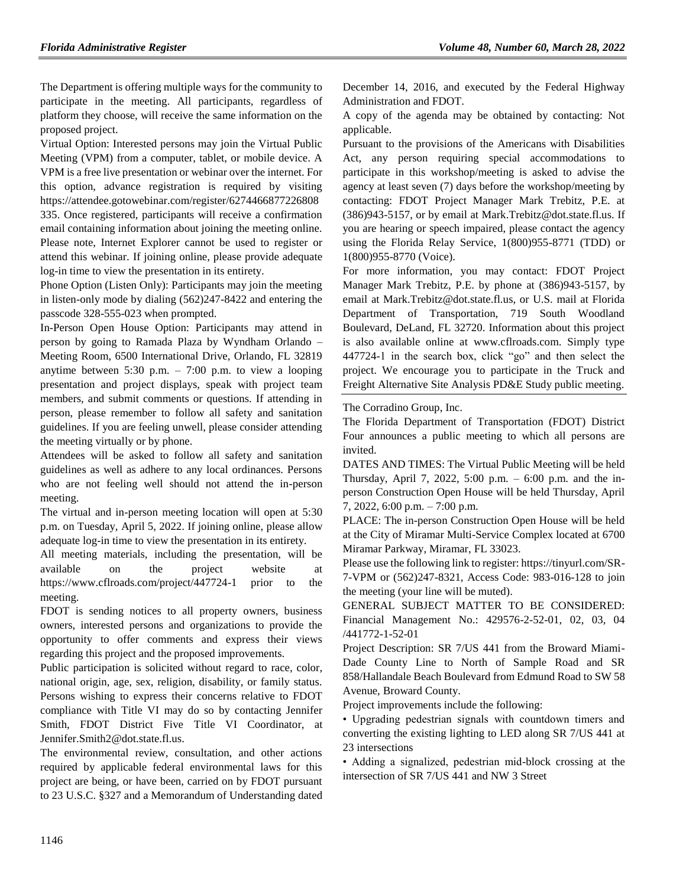The Department is offering multiple ways for the community to participate in the meeting. All participants, regardless of platform they choose, will receive the same information on the proposed project.

Virtual Option: Interested persons may join the Virtual Public Meeting (VPM) from a computer, tablet, or mobile device. A VPM is a free live presentation or webinar over the internet. For this option, advance registration is required by visiting https://attendee.gotowebinar.com/register/6274466877226808 335. Once registered, participants will receive a confirmation email containing information about joining the meeting online. Please note, Internet Explorer cannot be used to register or attend this webinar. If joining online, please provide adequate log-in time to view the presentation in its entirety.

Phone Option (Listen Only): Participants may join the meeting in listen-only mode by dialing (562)247-8422 and entering the passcode 328-555-023 when prompted.

In-Person Open House Option: Participants may attend in person by going to Ramada Plaza by Wyndham Orlando – Meeting Room, 6500 International Drive, Orlando, FL 32819 anytime between 5:30 p.m. – 7:00 p.m. to view a looping presentation and project displays, speak with project team members, and submit comments or questions. If attending in person, please remember to follow all safety and sanitation guidelines. If you are feeling unwell, please consider attending the meeting virtually or by phone.

Attendees will be asked to follow all safety and sanitation guidelines as well as adhere to any local ordinances. Persons who are not feeling well should not attend the in-person meeting.

The virtual and in-person meeting location will open at 5:30 p.m. on Tuesday, April 5, 2022. If joining online, please allow adequate log-in time to view the presentation in its entirety.

All meeting materials, including the presentation, will be available on the project website at https://www.cflroads.com/project/447724-1 prior to the meeting.

FDOT is sending notices to all property owners, business owners, interested persons and organizations to provide the opportunity to offer comments and express their views regarding this project and the proposed improvements.

Public participation is solicited without regard to race, color, national origin, age, sex, religion, disability, or family status. Persons wishing to express their concerns relative to FDOT compliance with Title VI may do so by contacting Jennifer Smith, FDOT District Five Title VI Coordinator, at Jennifer.Smith2@dot.state.fl.us.

The environmental review, consultation, and other actions required by applicable federal environmental laws for this project are being, or have been, carried on by FDOT pursuant to 23 U.S.C. §327 and a Memorandum of Understanding dated December 14, 2016, and executed by the Federal Highway Administration and FDOT.

A copy of the agenda may be obtained by contacting: Not applicable.

Pursuant to the provisions of the Americans with Disabilities Act, any person requiring special accommodations to participate in this workshop/meeting is asked to advise the agency at least seven (7) days before the workshop/meeting by contacting: FDOT Project Manager Mark Trebitz, P.E. at (386)943-5157, or by email at Mark.Trebitz@dot.state.fl.us. If you are hearing or speech impaired, please contact the agency using the Florida Relay Service, 1(800)955-8771 (TDD) or 1(800)955-8770 (Voice).

For more information, you may contact: FDOT Project Manager Mark Trebitz, P.E. by phone at (386)943-5157, by email at Mark.Trebitz@dot.state.fl.us, or U.S. mail at Florida Department of Transportation, 719 South Woodland Boulevard, DeLand, FL 32720. Information about this project is also available online at www.cflroads.com. Simply type 447724-1 in the search box, click "go" and then select the project. We encourage you to participate in the Truck and Freight Alternative Site Analysis PD&E Study public meeting.

[The Corradino Group, Inc.](https://www.flrules.org/gateway/organization.asp?id=1048)

The Florida Department of Transportation (FDOT) District Four announces a public meeting to which all persons are invited.

DATES AND TIMES: The Virtual Public Meeting will be held Thursday, April 7, 2022, 5:00 p.m. – 6:00 p.m. and the inperson Construction Open House will be held Thursday, April 7, 2022, 6:00 p.m. – 7:00 p.m.

PLACE: The in-person Construction Open House will be held at the City of Miramar Multi-Service Complex located at 6700 Miramar Parkway, Miramar, FL 33023.

Please use the following link to register: https://tinyurl.com/SR-7-VPM or (562)247-8321, Access Code: 983-016-128 to join the meeting (your line will be muted).

GENERAL SUBJECT MATTER TO BE CONSIDERED: Financial Management No.: 429576-2-52-01, 02, 03, 04 /441772-1-52-01

Project Description: SR 7/US 441 from the Broward Miami-Dade County Line to North of Sample Road and SR 858/Hallandale Beach Boulevard from Edmund Road to SW 58 Avenue, Broward County.

Project improvements include the following:

• Upgrading pedestrian signals with countdown timers and converting the existing lighting to LED along SR 7/US 441 at 23 intersections

• Adding a signalized, pedestrian mid-block crossing at the intersection of SR 7/US 441 and NW 3 Street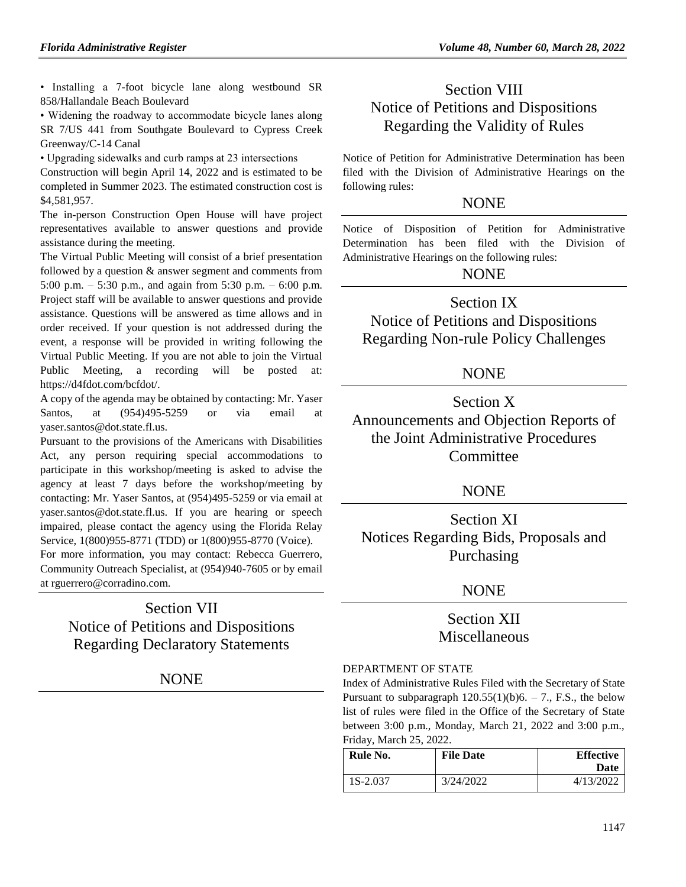• Installing a 7-foot bicycle lane along westbound SR 858/Hallandale Beach Boulevard

• Widening the roadway to accommodate bicycle lanes along SR 7/US 441 from Southgate Boulevard to Cypress Creek Greenway/C-14 Canal

• Upgrading sidewalks and curb ramps at 23 intersections

Construction will begin April 14, 2022 and is estimated to be completed in Summer 2023. The estimated construction cost is \$4,581,957.

The in-person Construction Open House will have project representatives available to answer questions and provide assistance during the meeting.

The Virtual Public Meeting will consist of a brief presentation followed by a question & answer segment and comments from 5:00 p.m. – 5:30 p.m., and again from 5:30 p.m. – 6:00 p.m. Project staff will be available to answer questions and provide assistance. Questions will be answered as time allows and in order received. If your question is not addressed during the event, a response will be provided in writing following the Virtual Public Meeting. If you are not able to join the Virtual Public Meeting, a recording will be posted at: https://d4fdot.com/bcfdot/.

A copy of the agenda may be obtained by contacting: Mr. Yaser Santos, at (954)495-5259 or via email at yaser.santos@dot.state.fl.us.

Pursuant to the provisions of the Americans with Disabilities Act, any person requiring special accommodations to participate in this workshop/meeting is asked to advise the agency at least 7 days before the workshop/meeting by contacting: Mr. Yaser Santos, at (954)495-5259 or via email at yaser.santos@dot.state.fl.us. If you are hearing or speech impaired, please contact the agency using the Florida Relay Service, 1(800)955-8771 (TDD) or 1(800)955-8770 (Voice).

For more information, you may contact: Rebecca Guerrero, Community Outreach Specialist, at (954)940-7605 or by email at rguerrero@corradino.com.

# Section VII Notice of Petitions and Dispositions Regarding Declaratory Statements

NONE

# Section VIII Notice of Petitions and Dispositions Regarding the Validity of Rules

Notice of Petition for Administrative Determination has been filed with the Division of Administrative Hearings on the following rules:

# **NONE**

Notice of Disposition of Petition for Administrative Determination has been filed with the Division of Administrative Hearings on the following rules:

# NONE

# Section IX

Notice of Petitions and Dispositions Regarding Non-rule Policy Challenges

# NONE

Section X Announcements and Objection Reports of the Joint Administrative Procedures **Committee** 

# NONE

Section XI Notices Regarding Bids, Proposals and Purchasing

# NONE

# Section XII Miscellaneous

## [DEPARTMENT OF STATE](https://www.flrules.org/gateway/department.asp?id=1)

Index of Administrative Rules Filed with the Secretary of State Pursuant to subparagraph  $120.55(1)(b)6. - 7$ ., F.S., the below list of rules were filed in the Office of the Secretary of State between 3:00 p.m., Monday, March 21, 2022 and 3:00 p.m., Friday, March 25, 2022.

| Rule No. | <b>File Date</b> | <b>Effective</b><br>Date |
|----------|------------------|--------------------------|
| 1S-2.037 | 3/24/2022        | 4/13/2022                |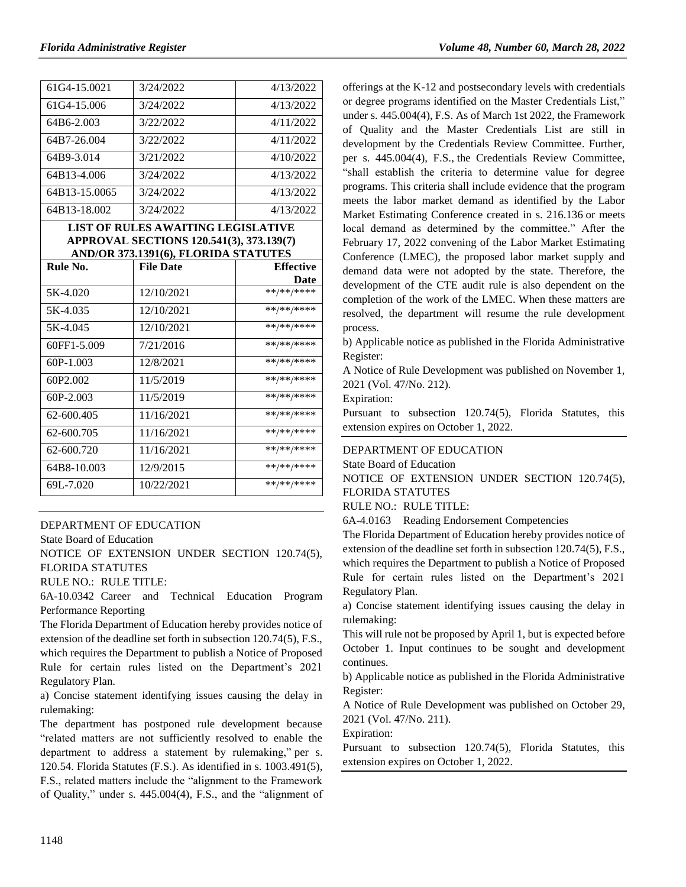| 61G4-15.0021  | 3/24/2022 | 4/13/2022 |
|---------------|-----------|-----------|
| 61G4-15.006   | 3/24/2022 | 4/13/2022 |
| 64B6-2.003    | 3/22/2022 | 4/11/2022 |
| 64B7-26.004   | 3/22/2022 | 4/11/2022 |
| 64B9-3.014    | 3/21/2022 | 4/10/2022 |
| 64B13-4.006   | 3/24/2022 | 4/13/2022 |
| 64B13-15.0065 | 3/24/2022 | 4/13/2022 |
| 64B13-18.002  | 3/24/2022 | 4/13/2022 |

### **LIST OF RULES AWAITING LEGISLATIVE APPROVAL SECTIONS 120.541(3), 373.139(7) AND/OR 373.1391(6), FLORIDA STATUTES**

| Rule No.    | <b>File Date</b> | <b>Effective</b> |
|-------------|------------------|------------------|
|             |                  | Date             |
| 5K-4.020    | 12/10/2021       | **/**/****       |
| 5K-4.035    | 12/10/2021       | **/**/****       |
| 5K-4.045    | 12/10/2021       | **/**/****       |
| 60FF1-5.009 | 7/21/2016        | **/**/****       |
| 60P-1.003   | 12/8/2021        | **/**/****       |
| 60P2.002    | 11/5/2019        | **/**/****       |
| $60P-2.003$ | 11/5/2019        | **/**/****       |
| 62-600.405  | 11/16/2021       | **/**/****       |
| 62-600.705  | 11/16/2021       | **/**/****       |
| 62-600.720  | 11/16/2021       | **/**/****       |
| 64B8-10.003 | 12/9/2015        | **/**/****       |
| 69L-7.020   | 10/22/2021       | **/**/****       |

## [DEPARTMENT OF EDUCATION](https://www.flrules.org/gateway/department.asp?id=6)

[State Board of Education](https://www.flrules.org/gateway/organization.asp?id=195)

NOTICE OF EXTENSION UNDER SECTION 120.74(5), FLORIDA STATUTES

RULE NO.: RULE TITLE:

[6A-10.0342](https://www.flrules.org/gateway/ruleNo.asp?id=6A-10.0342) Career and Technical Education Program Performance Reporting

The Florida Department of Education hereby provides notice of extension of the deadline set forth in subsection 120.74(5), F.S., which requires the Department to publish a Notice of Proposed Rule for certain rules listed on the Department's 2021 Regulatory Plan.

a) Concise statement identifying issues causing the delay in rulemaking:

The department has postponed rule development because "related matters are not sufficiently resolved to enable the department to address a statement by rulemaking," per [s.](http://www.leg.state.fl.us/statutes/index.cfm?App_mode=Display_Statute&URL=0100-0199/0120/Sections/0120.54.html)  [120.54. Florida Statutes](http://www.leg.state.fl.us/statutes/index.cfm?App_mode=Display_Statute&URL=0100-0199/0120/Sections/0120.54.html) (F.S.). As identified in [s. 1003.491\(5\),](http://www.leg.state.fl.us/Statutes/index.cfm?App_mode=Display_Statute&URL=1000-1099/1003/Sections/1003.491.html)  [F.S.,](http://www.leg.state.fl.us/Statutes/index.cfm?App_mode=Display_Statute&URL=1000-1099/1003/Sections/1003.491.html) related matters include the "alignment to the Framework of Quality," under [s. 445.004\(4\), F.S.,](http://www.leg.state.fl.us/statutes/index.cfm?App_mode=Display_Statute&Search_String=1003.491&URL=0400-0499/0445/Sections/0445.004.html) and the "alignment of offerings at the K-12 and postsecondary levels with credentials or degree programs identified on the Master Credentials List," under [s. 445.004\(4\), F.S.](http://www.leg.state.fl.us/statutes/index.cfm?App_mode=Display_Statute&Search_String=1003.491&URL=0400-0499/0445/Sections/0445.004.html) As of March 1st 2022, the Framework of Quality and the Master Credentials List are still in development by the Credentials Review Committee. Further, per [s. 445.004\(4\), F.S.,](http://www.leg.state.fl.us/statutes/index.cfm?App_mode=Display_Statute&Search_String=1003.491&URL=0400-0499/0445/Sections/0445.004.html) the Credentials Review Committee, "shall establish the criteria to determine value for degree programs. This criteria shall include evidence that the program meets the labor market demand as identified by the Labor Market Estimating Conference created in [s. 216.136](http://www.leg.state.fl.us/statutes/index.cfm?App_mode=Display_Statute&Search_String=&URL=0200-0299/0216/Sections/0216.136.html) or meets local demand as determined by the committee." After the February 17, 2022 convening of the [Labor Market Estimating](http://edr.state.fl.us/content/conferences/labormarket/index.cfm)  [Conference \(LMEC\),](http://edr.state.fl.us/content/conferences/labormarket/index.cfm) the proposed labor market supply and demand data were not adopted by the state. Therefore, the development of the CTE audit rule is also dependent on the completion of the work of the LMEC. When these matters are resolved, the department will resume the rule development process.

b) Applicable notice as published in the Florida Administrative Register:

A Notice of Rule Development was published on November 1, 2021 (Vol. 47/No. 212).

Expiration:

Pursuant to subsection 120.74(5), Florida Statutes, this extension expires on October 1, 2022.

# [DEPARTMENT OF EDUCATION](https://www.flrules.org/gateway/department.asp?id=6)

[State Board of Education](https://www.flrules.org/gateway/organization.asp?id=195)

NOTICE OF EXTENSION UNDER SECTION 120.74(5), FLORIDA STATUTES

#### RULE NO.: RULE TITLE:

[6A-4.0163](https://www.flrules.org/gateway/ruleNo.asp?id=6A-4.0163) Reading Endorsement Competencies

The Florida Department of Education hereby provides notice of extension of the deadline set forth in subsection 120.74(5), F.S., which requires the Department to publish a Notice of Proposed Rule for certain rules listed on the Department's 2021 Regulatory Plan.

a) Concise statement identifying issues causing the delay in rulemaking:

This will rule not be proposed by April 1, but is expected before October 1. Input continues to be sought and development continues.

b) Applicable notice as published in the Florida Administrative Register:

A Notice of Rule Development was published on October 29, 2021 (Vol. 47/No. 211).

Expiration:

Pursuant to subsection 120.74(5), Florida Statutes, this extension expires on October 1, 2022.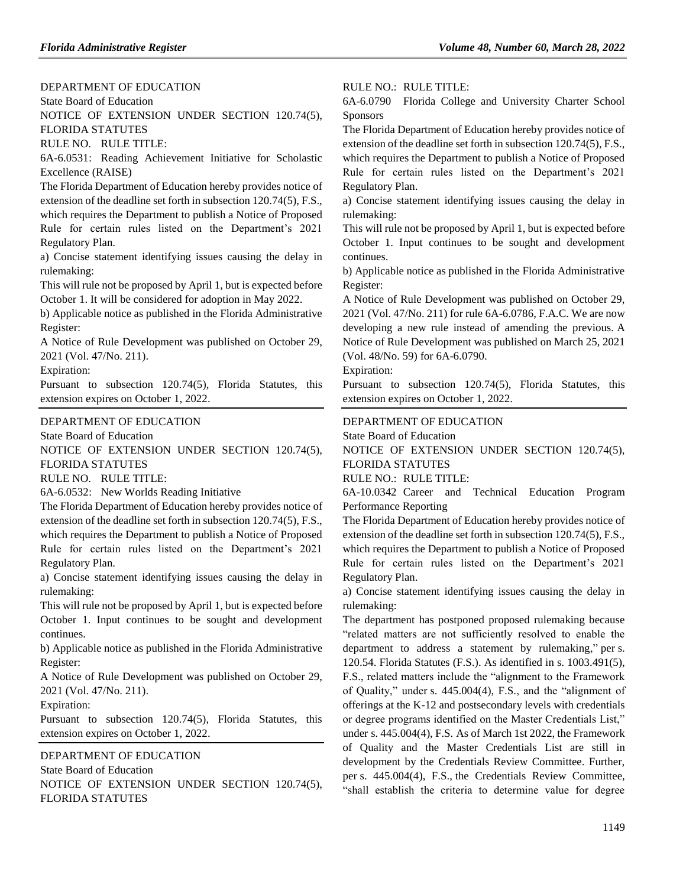# [DEPARTMENT OF EDUCATION](https://www.flrules.org/gateway/department.asp?id=6)

[State Board of Education](https://www.flrules.org/gateway/organization.asp?id=195)

NOTICE OF EXTENSION UNDER SECTION 120.74(5), FLORIDA STATUTES

RULE NO. RULE TITLE:

[6A-6.0531:](https://www.flrules.org/gateway/ruleNo.asp?id=6A-6.0531) Reading Achievement Initiative for Scholastic Excellence (RAISE)

The Florida Department of Education hereby provides notice of extension of the deadline set forth in subsection 120.74(5), F.S., which requires the Department to publish a Notice of Proposed Rule for certain rules listed on the Department's 2021 Regulatory Plan.

a) Concise statement identifying issues causing the delay in rulemaking:

This will rule not be proposed by April 1, but is expected before October 1. It will be considered for adoption in May 2022.

b) Applicable notice as published in the Florida Administrative Register:

A Notice of Rule Development was published on October 29, 2021 (Vol. 47/No. 211).

Expiration:

Pursuant to subsection 120.74(5), Florida Statutes, this extension expires on October 1, 2022.

#### [DEPARTMENT OF EDUCATION](https://www.flrules.org/gateway/department.asp?id=6)

[State Board of Education](https://www.flrules.org/gateway/organization.asp?id=195)

NOTICE OF EXTENSION UNDER SECTION 120.74(5), FLORIDA STATUTES

RULE NO. RULE TITLE:

[6A-6.0532:](https://www.flrules.org/gateway/ruleNo.asp?id=6A-6.0532) New Worlds Reading Initiative

The Florida Department of Education hereby provides notice of extension of the deadline set forth in subsection 120.74(5), F.S.,

which requires the Department to publish a Notice of Proposed Rule for certain rules listed on the Department's 2021 Regulatory Plan.

a) Concise statement identifying issues causing the delay in rulemaking:

This will rule not be proposed by April 1, but is expected before October 1. Input continues to be sought and development continues.

b) Applicable notice as published in the Florida Administrative Register:

A Notice of Rule Development was published on October 29, 2021 (Vol. 47/No. 211).

Expiration:

Pursuant to subsection 120.74(5), Florida Statutes, this extension expires on October 1, 2022.

[DEPARTMENT OF EDUCATION](https://www.flrules.org/gateway/department.asp?id=6) [State Board of Education](https://www.flrules.org/gateway/organization.asp?id=195) NOTICE OF EXTENSION UNDER SECTION 120.74(5), FLORIDA STATUTES

#### RULE NO.: RULE TITLE:

[6A-6.0790](https://www.flrules.org/gateway/ruleNo.asp?id=6A-6.0790) Florida College and University Charter School **Sponsors** 

The Florida Department of Education hereby provides notice of extension of the deadline set forth in subsection 120.74(5), F.S., which requires the Department to publish a Notice of Proposed Rule for certain rules listed on the Department's 2021 Regulatory Plan.

a) Concise statement identifying issues causing the delay in rulemaking:

This will rule not be proposed by April 1, but is expected before October 1. Input continues to be sought and development continues.

b) Applicable notice as published in the Florida Administrative Register:

A Notice of Rule Development was published on October 29, 2021 (Vol. 47/No. 211) for rule 6A-6.0786, F.A.C. We are now developing a new rule instead of amending the previous. A Notice of Rule Development was published on March 25, 2021 (Vol. 48/No. 59) for 6A-6.0790.

Expiration:

Pursuant to subsection 120.74(5), Florida Statutes, this extension expires on October 1, 2022.

#### [DEPARTMENT OF EDUCATION](https://www.flrules.org/gateway/department.asp?id=6)

[State Board of Education](https://www.flrules.org/gateway/organization.asp?id=195)

NOTICE OF EXTENSION UNDER SECTION 120.74(5), FLORIDA STATUTES

RULE NO.: RULE TITLE:

[6A-10.0342](https://www.flrules.org/gateway/ruleNo.asp?id=6A-10.0342) Career and Technical Education Program Performance Reporting

The Florida Department of Education hereby provides notice of extension of the deadline set forth in subsection 120.74(5), F.S., which requires the Department to publish a Notice of Proposed Rule for certain rules listed on the Department's 2021 Regulatory Plan.

a) Concise statement identifying issues causing the delay in rulemaking:

The department has postponed proposed rulemaking because "related matters are not sufficiently resolved to enable the department to address a statement by rulemaking," per [s.](http://www.leg.state.fl.us/statutes/index.cfm?App_mode=Display_Statute&URL=0100-0199/0120/Sections/0120.54.html)  [120.54. Florida Statutes](http://www.leg.state.fl.us/statutes/index.cfm?App_mode=Display_Statute&URL=0100-0199/0120/Sections/0120.54.html) (F.S.). As identified in [s. 1003.491\(5\),](http://www.leg.state.fl.us/Statutes/index.cfm?App_mode=Display_Statute&URL=1000-1099/1003/Sections/1003.491.html)  [F.S.,](http://www.leg.state.fl.us/Statutes/index.cfm?App_mode=Display_Statute&URL=1000-1099/1003/Sections/1003.491.html) related matters include the "alignment to the Framework of Quality," under [s. 445.004\(4\), F.S.,](http://www.leg.state.fl.us/statutes/index.cfm?App_mode=Display_Statute&Search_String=1003.491&URL=0400-0499/0445/Sections/0445.004.html) and the "alignment of offerings at the K-12 and postsecondary levels with credentials or degree programs identified on the Master Credentials List," under [s. 445.004\(4\), F.S.](http://www.leg.state.fl.us/statutes/index.cfm?App_mode=Display_Statute&Search_String=1003.491&URL=0400-0499/0445/Sections/0445.004.html) As of March 1st 2022, the Framework of Quality and the Master Credentials List are still in development by the Credentials Review Committee. Further, per [s. 445.004\(4\), F.S.,](http://www.leg.state.fl.us/statutes/index.cfm?App_mode=Display_Statute&Search_String=1003.491&URL=0400-0499/0445/Sections/0445.004.html) the Credentials Review Committee, "shall establish the criteria to determine value for degree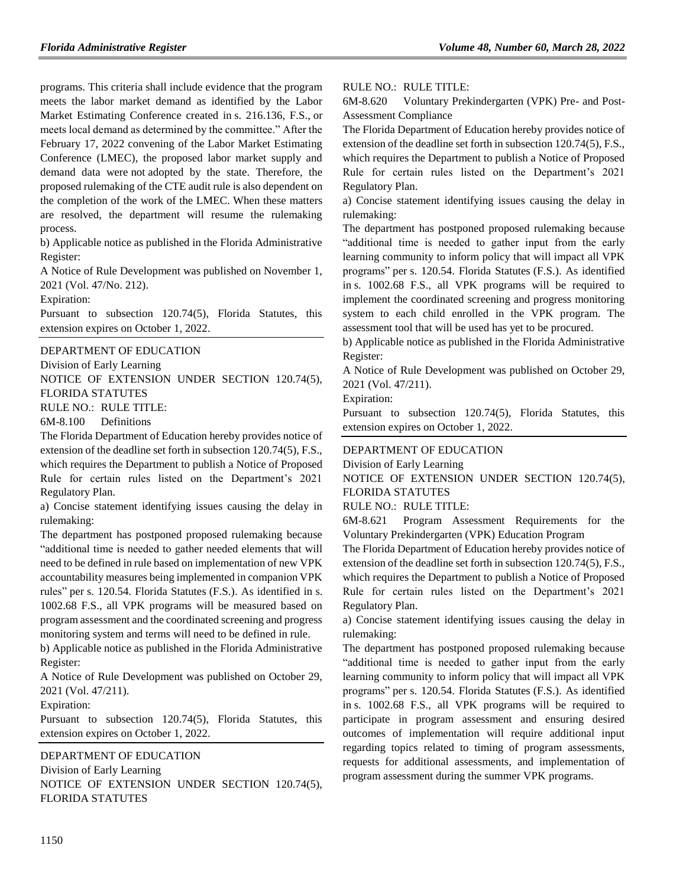programs. This criteria shall include evidence that the program meets the labor market demand as identified by the Labor Market Estimating Conference created in [s. 216.136, F.S.,](http://www.leg.state.fl.us/statutes/index.cfm?App_mode=Display_Statute&Search_String=&URL=0200-0299/0216/Sections/0216.136.html) or meets local demand as determined by the committee." After the February 17, 2022 convening of the [Labor Market Estimating](http://edr.state.fl.us/content/conferences/labormarket/index.cfm)  [Conference \(LMEC\),](http://edr.state.fl.us/content/conferences/labormarket/index.cfm) the proposed labor market supply and demand data were not adopted by the state. Therefore, the proposed rulemaking of the CTE audit rule is also dependent on the completion of the work of the LMEC. When these matters are resolved, the department will resume the rulemaking process.

b) Applicable notice as published in the Florida Administrative Register:

A Notice of Rule Development was published on November 1, 2021 (Vol. 47/No. 212).

Expiration:

Pursuant to subsection 120.74(5), Florida Statutes, this extension expires on October 1, 2022.

[DEPARTMENT OF EDUCATION](https://www.flrules.org/gateway/department.asp?id=6)

[Division of Early Learning](https://www.flrules.org/gateway/organization.asp?id=1044)

NOTICE OF EXTENSION UNDER SECTION 120.74(5), FLORIDA STATUTES

RULE NO.: RULE TITLE:

[6M-8.100](https://www.flrules.org/gateway/ruleNo.asp?id=6M-8.100) Definitions

The Florida Department of Education hereby provides notice of extension of the deadline set forth in subsection 120.74(5), F.S., which requires the Department to publish a Notice of Proposed Rule for certain rules listed on the Department's 2021

Regulatory Plan. a) Concise statement identifying issues causing the delay in rulemaking:

The department has postponed proposed rulemaking because "additional time is needed to gather needed elements that will need to be defined in rule based on implementation of new VPK accountability measures being implemented in companion VPK rules" per [s. 120.54. Florida Statutes](http://www.leg.state.fl.us/statutes/index.cfm?App_mode=Display_Statute&URL=0100-0199/0120/Sections/0120.54.html) (F.S.). As identified in s. 1002.68 F.S., all VPK programs will be measured based on program assessment and the coordinated screening and progress monitoring system and terms will need to be defined in rule.

b) Applicable notice as published in the Florida Administrative Register:

A Notice of Rule Development was published on October 29, 2021 (Vol. 47/211).

Expiration:

Pursuant to subsection 120.74(5), Florida Statutes, this extension expires on October 1, 2022.

[DEPARTMENT OF EDUCATION](https://www.flrules.org/gateway/department.asp?id=6) [Division of Early Learning](https://www.flrules.org/gateway/organization.asp?id=1044) NOTICE OF EXTENSION UNDER SECTION 120.74(5), FLORIDA STATUTES

#### RULE NO.: RULE TITLE:

[6M-8.620](https://www.flrules.org/gateway/ruleNo.asp?id=6M-8.620) Voluntary Prekindergarten (VPK) Pre- and Post-Assessment Compliance

The Florida Department of Education hereby provides notice of extension of the deadline set forth in subsection 120.74(5), F.S., which requires the Department to publish a Notice of Proposed Rule for certain rules listed on the Department's 2021 Regulatory Plan.

a) Concise statement identifying issues causing the delay in rulemaking:

The department has postponed proposed rulemaking because "additional time is needed to gather input from the early learning community to inform policy that will impact all VPK programs" per [s. 120.54. Florida Statutes](http://www.leg.state.fl.us/statutes/index.cfm?App_mode=Display_Statute&URL=0100-0199/0120/Sections/0120.54.html) (F.S.). As identified in s. 1002.68 F.S., all VPK programs will be required to implement the coordinated screening and progress monitoring system to each child enrolled in the VPK program. The assessment tool that will be used has yet to be procured.

b) Applicable notice as published in the Florida Administrative Register:

A Notice of Rule Development was published on October 29, 2021 (Vol. 47/211).

Expiration:

Pursuant to subsection 120.74(5), Florida Statutes, this extension expires on October 1, 2022.

## [DEPARTMENT OF EDUCATION](https://www.flrules.org/gateway/department.asp?id=6)

[Division of Early Learning](https://www.flrules.org/gateway/organization.asp?id=1044)

NOTICE OF EXTENSION UNDER SECTION 120.74(5), FLORIDA STATUTES

RULE NO.: RULE TITLE:

[6M-8.621](https://www.flrules.org/gateway/ruleNo.asp?id=6M-8.621) Program Assessment Requirements for the Voluntary Prekindergarten (VPK) Education Program

The Florida Department of Education hereby provides notice of extension of the deadline set forth in subsection 120.74(5), F.S., which requires the Department to publish a Notice of Proposed Rule for certain rules listed on the Department's 2021 Regulatory Plan.

a) Concise statement identifying issues causing the delay in rulemaking:

The department has postponed proposed rulemaking because "additional time is needed to gather input from the early learning community to inform policy that will impact all VPK programs" per [s. 120.54. Florida Statutes](http://www.leg.state.fl.us/statutes/index.cfm?App_mode=Display_Statute&URL=0100-0199/0120/Sections/0120.54.html) (F.S.). As identified in s. 1002.68 F.S., all VPK programs will be required to participate in program assessment and ensuring desired outcomes of implementation will require additional input regarding topics related to timing of program assessments, requests for additional assessments, and implementation of program assessment during the summer VPK programs.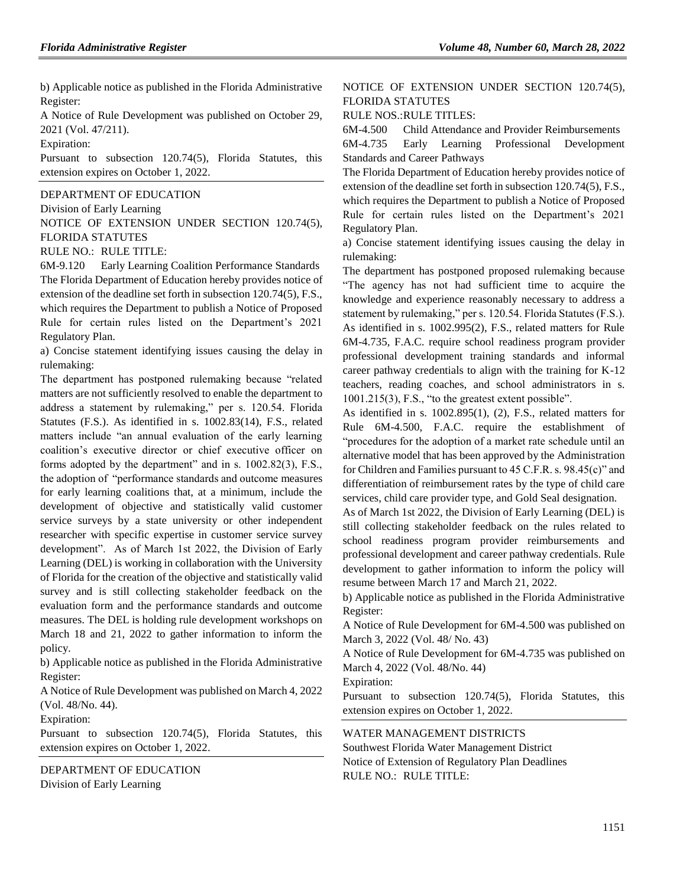b) Applicable notice as published in the Florida Administrative Register:

A Notice of Rule Development was published on October 29, 2021 (Vol. 47/211).

Expiration:

Pursuant to subsection 120.74(5), Florida Statutes, this extension expires on October 1, 2022.

[DEPARTMENT OF EDUCATION](https://www.flrules.org/gateway/department.asp?id=6)

[Division of Early Learning](https://www.flrules.org/gateway/organization.asp?id=1044)

NOTICE OF EXTENSION UNDER SECTION 120.74(5), FLORIDA STATUTES

RULE NO.: RULE TITLE:

[6M-9.120](https://www.flrules.org/gateway/ruleNo.asp?id=6M-9.120) Early Learning Coalition Performance Standards The Florida Department of Education hereby provides notice of extension of the deadline set forth in subsection 120.74(5), F.S., which requires the Department to publish a Notice of Proposed Rule for certain rules listed on the Department's 2021 Regulatory Plan.

a) Concise statement identifying issues causing the delay in rulemaking:

The department has postponed rulemaking because "related matters are not sufficiently resolved to enable the department to address a statement by rulemaking," per s. 120.54. Florida Statutes (F.S.). As identified in s. 1002.83(14), F.S., related matters include "an annual evaluation of the early learning coalition's executive director or chief executive officer on forms adopted by the department" and in s. 1002.82(3), F.S., the adoption of "performance standards and outcome measures for early learning coalitions that, at a minimum, include the development of objective and statistically valid customer service surveys by a state university or other independent researcher with specific expertise in customer service survey development". As of March 1st 2022, the Division of Early Learning (DEL) is working in collaboration with the University of Florida for the creation of the objective and statistically valid survey and is still collecting stakeholder feedback on the evaluation form and the performance standards and outcome measures. The DEL is holding rule development workshops on March 18 and 21, 2022 to gather information to inform the policy.

b) Applicable notice as published in the Florida Administrative Register:

A Notice of Rule Development was published on March 4, 2022 (Vol. 48/No. 44).

Expiration:

Pursuant to subsection 120.74(5), Florida Statutes, this extension expires on October 1, 2022.

[DEPARTMENT OF EDUCATION](https://www.flrules.org/gateway/department.asp?id=6) [Division of Early Learning](https://www.flrules.org/gateway/organization.asp?id=1044)

# NOTICE OF EXTENSION UNDER SECTION 120.74(5), FLORIDA STATUTES

RULE NOS.:RULE TITLES:

[6M-4.500](https://www.flrules.org/gateway/ruleNo.asp?id=6M-4.500) Child Attendance and Provider Reimbursements

[6M-4.735](https://www.flrules.org/gateway/ruleNo.asp?id=6M-4.735) Early Learning Professional Development Standards and Career Pathways

The Florida Department of Education hereby provides notice of extension of the deadline set forth in subsection 120.74(5), F.S., which requires the Department to publish a Notice of Proposed Rule for certain rules listed on the Department's 2021 Regulatory Plan.

a) Concise statement identifying issues causing the delay in rulemaking:

The department has postponed proposed rulemaking because "The agency has not had sufficient time to acquire the knowledge and experience reasonably necessary to address a statement by rulemaking," per s. 120.54. Florida Statutes (F.S.). As identified in s. 1002.995(2), F.S., related matters for Rule 6M-4.735, F.A.C. require school readiness program provider professional development training standards and informal career pathway credentials to align with the training for K-12 teachers, reading coaches, and school administrators in s. 1001.215(3), F.S., "to the greatest extent possible".

As identified in s. 1002.895(1), (2), F.S., related matters for Rule 6M-4.500, F.A.C. require the establishment of "procedures for the adoption of a market rate schedule until an alternative model that has been approved by the Administration for Children and Families pursuant to 45 C.F.R. s. 98.45(c)" and differentiation of reimbursement rates by the type of child care services, child care provider type, and Gold Seal designation.

As of March 1st 2022, the Division of Early Learning (DEL) is still collecting stakeholder feedback on the rules related to school readiness program provider reimbursements and professional development and career pathway credentials. Rule development to gather information to inform the policy will resume between March 17 and March 21, 2022.

b) Applicable notice as published in the Florida Administrative Register:

A Notice of Rule Development for 6M-4.500 was published on March 3, 2022 (Vol. 48/ No. 43)

A Notice of Rule Development for 6M-4.735 was published on March 4, 2022 (Vol. 48/No. 44)

Expiration:

Pursuant to subsection 120.74(5), Florida Statutes, this extension expires on October 1, 2022.

# [WATER MANAGEMENT DISTRICTS](https://www.flrules.org/gateway/department.asp?id=40)

[Southwest Florida Water Management District](https://www.flrules.org/gateway/organization.asp?id=123) Notice of Extension of Regulatory Plan Deadlines RULE NO.: RULE TITLE: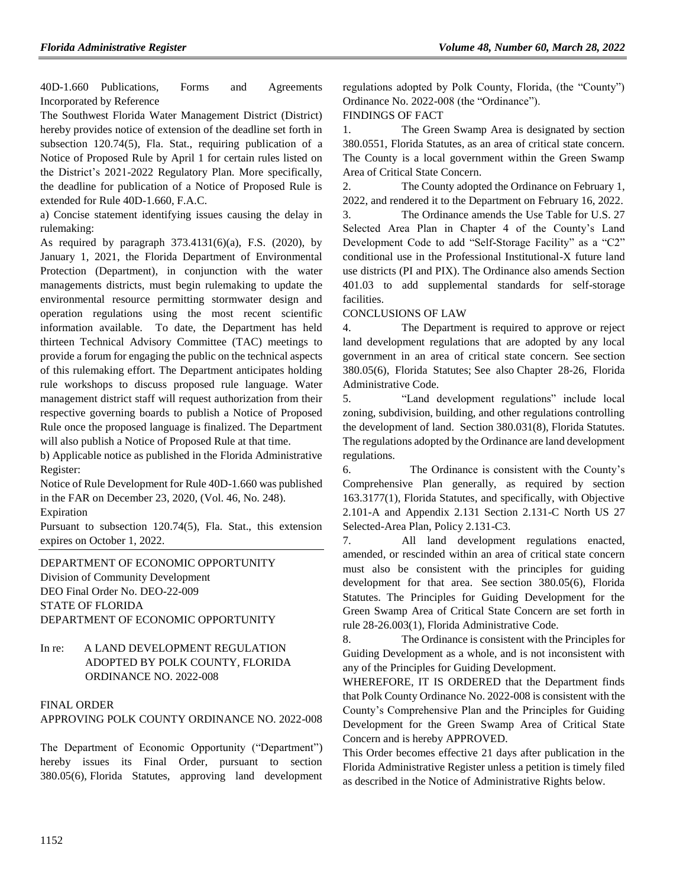[40D-1.660](https://www.flrules.org/gateway/ruleNo.asp?id=40D-1.660) Publications, Forms and Agreements Incorporated by Reference

The Southwest Florida Water Management District (District) hereby provides notice of extension of the deadline set forth in subsection 120.74(5), Fla. Stat., requiring publication of a Notice of Proposed Rule by April 1 for certain rules listed on the District's 2021-2022 Regulatory Plan. More specifically, the deadline for publication of a Notice of Proposed Rule is extended for Rule 40D-1.660, F.A.C.

a) Concise statement identifying issues causing the delay in rulemaking:

As required by paragraph  $373.4131(6)(a)$ , F.S. (2020), by January 1, 2021, the Florida Department of Environmental Protection (Department), in conjunction with the water managements districts, must begin rulemaking to update the environmental resource permitting stormwater design and operation regulations using the most recent scientific information available. To date, the Department has held thirteen Technical Advisory Committee (TAC) meetings to provide a forum for engaging the public on the technical aspects of this rulemaking effort. The Department anticipates holding rule workshops to discuss proposed rule language. Water management district staff will request authorization from their respective governing boards to publish a Notice of Proposed Rule once the proposed language is finalized. The Department will also publish a Notice of Proposed Rule at that time.

b) Applicable notice as published in the Florida Administrative Register:

Notice of Rule Development for Rule 40D-1.660 was published in the FAR on December 23, 2020, (Vol. 46, No. 248).

Expiration

Pursuant to subsection 120.74(5), Fla. Stat., this extension expires on October 1, 2022.

[DEPARTMENT OF ECONOMIC OPPORTUNITY](https://www.flrules.org/gateway/department.asp?id=73) [Division of Community Development](https://www.flrules.org/gateway/organization.asp?id=1066) DEO Final Order No. DEO-22-009 STATE OF FLORIDA DEPARTMENT OF ECONOMIC OPPORTUNITY

# In re: A LAND DEVELOPMENT REGULATION ADOPTED BY POLK COUNTY, FLORIDA ORDINANCE NO. 2022-008

# FINAL ORDER

# APPROVING POLK COUNTY ORDINANCE NO. 2022-008

The Department of Economic Opportunity ("Department") hereby issues its Final Order, pursuant to section 380.05(6), Florida Statutes, approving land development regulations adopted by Polk County, Florida, (the "County") Ordinance No. 2022-008 (the "Ordinance").

# FINDINGS OF FACT

1. The Green Swamp Area is designated by section 380.0551, Florida Statutes, as an area of critical state concern. The County is a local government within the Green Swamp Area of Critical State Concern.

2. The County adopted the Ordinance on February 1, 2022, and rendered it to the Department on February 16, 2022.

3. The Ordinance amends the Use Table for U.S. 27 Selected Area Plan in Chapter 4 of the County's Land Development Code to add "Self-Storage Facility" as a "C2" conditional use in the Professional Institutional-X future land use districts (PI and PIX). The Ordinance also amends Section 401.03 to add supplemental standards for self-storage facilities.

CONCLUSIONS OF LAW

4. The Department is required to approve or reject land development regulations that are adopted by any local government in an area of critical state concern. See section 380.05(6), Florida Statutes; See also Chapter 28-26, Florida Administrative Code.

5. "Land development regulations" include local zoning, subdivision, building, and other regulations controlling the development of land. Section 380.031(8), Florida Statutes. The regulations adopted by the Ordinance are land development regulations.

6. The Ordinance is consistent with the County's Comprehensive Plan generally, as required by section 163.3177(1), Florida Statutes, and specifically, with Objective 2.101-A and Appendix 2.131 Section 2.131-C North US 27 Selected-Area Plan, Policy 2.131-C3.

7. All land development regulations enacted, amended, or rescinded within an area of critical state concern must also be consistent with the principles for guiding development for that area. See section 380.05(6), Florida Statutes. The Principles for Guiding Development for the Green Swamp Area of Critical State Concern are set forth in rule 28-26.003(1), Florida Administrative Code.

8. The Ordinance is consistent with the Principles for Guiding Development as a whole, and is not inconsistent with any of the Principles for Guiding Development.

WHEREFORE, IT IS ORDERED that the Department finds that Polk County Ordinance No. 2022-008 is consistent with the County's Comprehensive Plan and the Principles for Guiding Development for the Green Swamp Area of Critical State Concern and is hereby APPROVED.

This Order becomes effective 21 days after publication in the Florida Administrative Register unless a petition is timely filed as described in the Notice of Administrative Rights below.